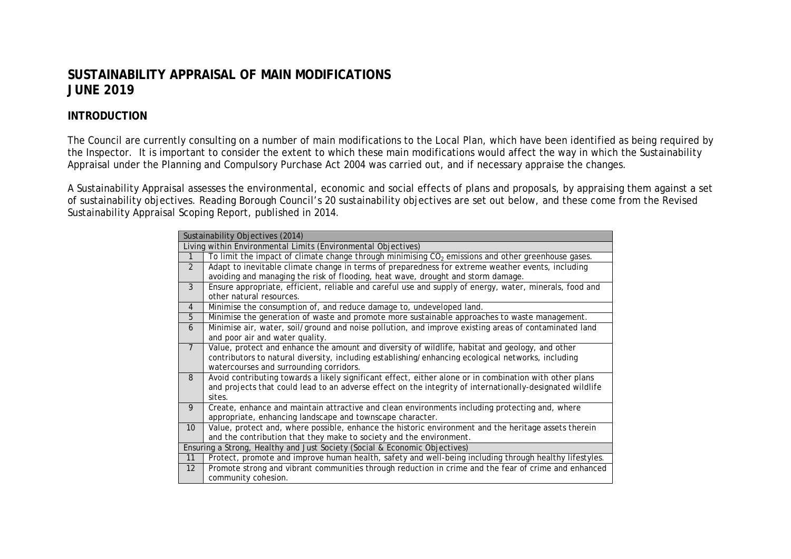# **SUSTAINABILITY APPRAISAL OF MAIN MODIFICATIONS JUNE 2019**

# **INTRODUCTION**

The Council are currently consulting on a number of main modifications to the Local Plan, which have been identified as being required by the Inspector. It is important to consider the extent to which these main modifications would affect the way in which the Sustainability Appraisal under the Planning and Compulsory Purchase Act 2004 was carried out, and if necessary appraise the changes.

A Sustainability Appraisal assesses the environmental, economic and social effects of plans and proposals, by appraising them against a set of sustainability objectives. Reading Borough Council's 20 sustainability objectives are set out below, and these come from the Revised Sustainability Appraisal Scoping Report, published in 2014.

|                   | Sustainability Objectives (2014)                                                                          |
|-------------------|-----------------------------------------------------------------------------------------------------------|
|                   | Living within Environmental Limits (Environmental Objectives)                                             |
| 1                 | To limit the impact of climate change through minimising $CO2$ emissions and other greenhouse gases.      |
| 2                 | Adapt to inevitable climate change in terms of preparedness for extreme weather events, including         |
|                   | avoiding and managing the risk of flooding, heat wave, drought and storm damage.                          |
| 3                 | Ensure appropriate, efficient, reliable and careful use and supply of energy, water, minerals, food and   |
|                   | other natural resources.                                                                                  |
| $\overline{4}$    | Minimise the consumption of, and reduce damage to, undeveloped land.                                      |
| $\overline{5}$    | Minimise the generation of waste and promote more sustainable approaches to waste management.             |
| 6                 | Minimise air, water, soil/ground and noise pollution, and improve existing areas of contaminated land     |
|                   | and poor air and water quality.                                                                           |
| $\overline{7}$    | Value, protect and enhance the amount and diversity of wildlife, habitat and geology, and other           |
|                   | contributors to natural diversity, including establishing/enhancing ecological networks, including        |
|                   | watercourses and surrounding corridors.                                                                   |
| 8                 | Avoid contributing towards a likely significant effect, either alone or in combination with other plans   |
|                   | and projects that could lead to an adverse effect on the integrity of internationally-designated wildlife |
|                   | sites.                                                                                                    |
| 9                 | Create, enhance and maintain attractive and clean environments including protecting and, where            |
|                   | appropriate, enhancing landscape and townscape character.                                                 |
| 10 <sup>°</sup>   | Value, protect and, where possible, enhance the historic environment and the heritage assets therein      |
|                   | and the contribution that they make to society and the environment.                                       |
|                   | Ensuring a Strong, Healthy and Just Society (Social & Economic Objectives)                                |
| 11                | Protect, promote and improve human health, safety and well-being including through healthy lifestyles.    |
| $12 \overline{ }$ | Promote strong and vibrant communities through reduction in crime and the fear of crime and enhanced      |
|                   | community cohesion.                                                                                       |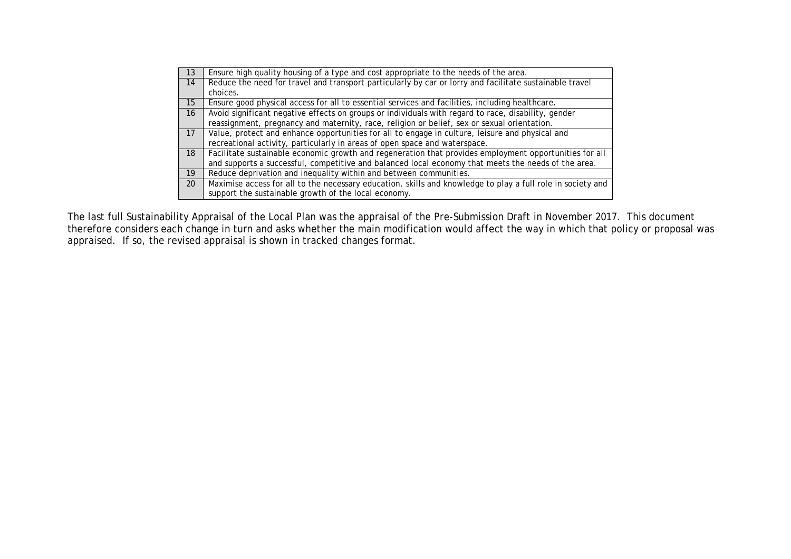| 13              | Ensure high quality housing of a type and cost appropriate to the needs of the area.                        |
|-----------------|-------------------------------------------------------------------------------------------------------------|
| 14              | Reduce the need for travel and transport particularly by car or lorry and facilitate sustainable travel     |
|                 | choices.                                                                                                    |
| 15              | Ensure good physical access for all to essential services and facilities, including healthcare.             |
| 16              | Avoid significant negative effects on groups or individuals with regard to race, disability, gender         |
|                 | reassignment, pregnancy and maternity, race, religion or belief, sex or sexual orientation.                 |
| 17 <sup>7</sup> | Value, protect and enhance opportunities for all to engage in culture, leisure and physical and             |
|                 | recreational activity, particularly in areas of open space and waterspace.                                  |
| 18              | Facilitate sustainable economic growth and regeneration that provides employment opportunities for all      |
|                 | and supports a successful, competitive and balanced local economy that meets the needs of the area.         |
| 19              | Reduce deprivation and inequality within and between communities.                                           |
| 20              | Maximise access for all to the necessary education, skills and knowledge to play a full role in society and |
|                 | support the sustainable growth of the local economy.                                                        |

The last full Sustainability Appraisal of the Local Plan was the appraisal of the Pre-Submission Draft in November 2017. This document therefore considers each change in turn and asks whether the main modification would affect the way in which that policy or proposal was appraised. If so, the revised appraisal is shown in tracked changes format.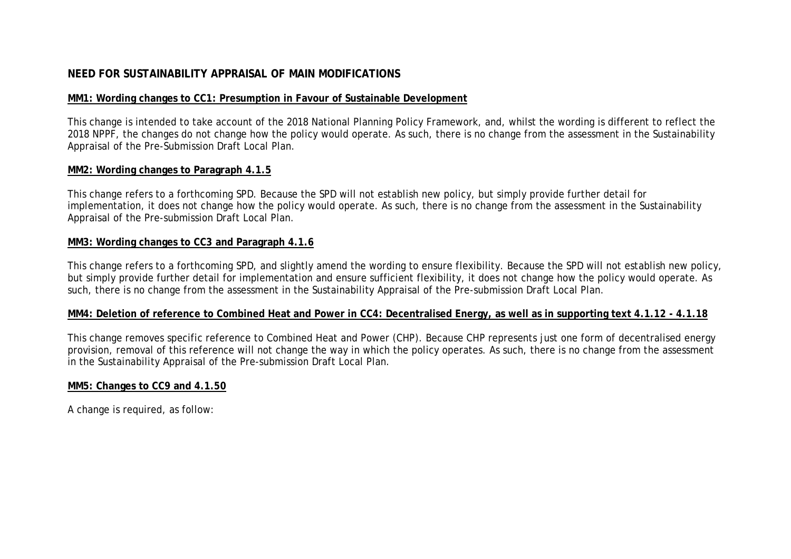# **NEED FOR SUSTAINABILITY APPRAISAL OF MAIN MODIFICATIONS**

# **MM1: Wording changes to CC1: Presumption in Favour of Sustainable Development**

This change is intended to take account of the 2018 National Planning Policy Framework, and, whilst the wording is different to reflect the 2018 NPPF, the changes do not change how the policy would operate. As such, there is no change from the assessment in the Sustainability Appraisal of the Pre-Submission Draft Local Plan.

# **MM2: Wording changes to Paragraph 4.1.5**

This change refers to a forthcoming SPD. Because the SPD will not establish new policy, but simply provide further detail for implementation, it does not change how the policy would operate. As such, there is no change from the assessment in the Sustainability Appraisal of the Pre-submission Draft Local Plan.

# **MM3: Wording changes to CC3 and Paragraph 4.1.6**

This change refers to a forthcoming SPD, and slightly amend the wording to ensure flexibility. Because the SPD will not establish new policy, but simply provide further detail for implementation and ensure sufficient flexibility, it does not change how the policy would operate. As such, there is no change from the assessment in the Sustainability Appraisal of the Pre-submission Draft Local Plan.

# **MM4: Deletion of reference to Combined Heat and Power in CC4: Decentralised Energy, as well as in supporting text 4.1.12 - 4.1.18**

This change removes specific reference to Combined Heat and Power (CHP). Because CHP represents just one form of decentralised energy provision, removal of this reference will not change the way in which the policy operates. As such, there is no change from the assessment in the Sustainability Appraisal of the Pre-submission Draft Local Plan.

# **MM5: Changes to CC9 and 4.1.50**

A change is required, as follow: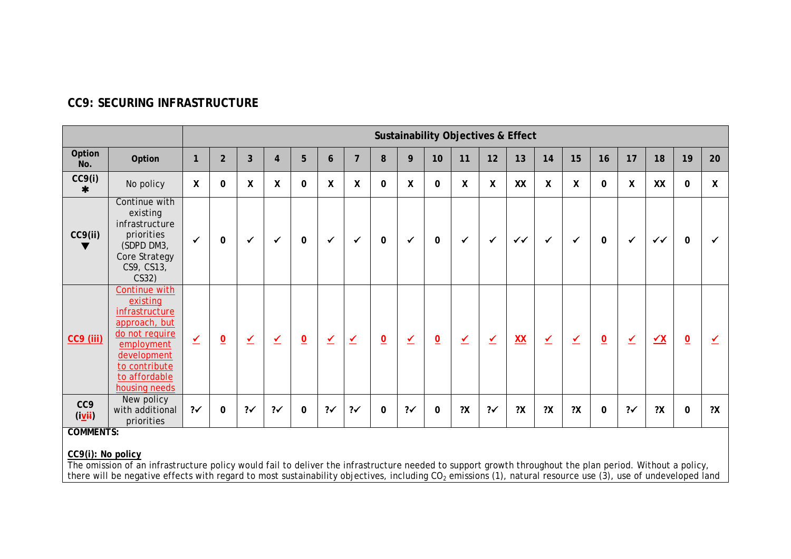|                                    |                                                                                                                                                                |                          |                 |                  |                |                 |                         |                         |                          |    |                 |          |                  | <b>Sustainability Objectives &amp; Effect</b> |                          |                         |                |               |              |                         |              |
|------------------------------------|----------------------------------------------------------------------------------------------------------------------------------------------------------------|--------------------------|-----------------|------------------|----------------|-----------------|-------------------------|-------------------------|--------------------------|----|-----------------|----------|------------------|-----------------------------------------------|--------------------------|-------------------------|----------------|---------------|--------------|-------------------------|--------------|
| Option<br>No.                      | Option                                                                                                                                                         | 1                        | $\overline{2}$  | $\overline{3}$   | $\overline{4}$ | 5               | 6                       | $\overline{7}$          | 8                        | 9  | 10              | 11       | 12               | 13                                            | 14                       | 15                      | 16             | 17            | 18           | 19                      | 20           |
| CC9(i)<br>∗                        | No policy                                                                                                                                                      | $\boldsymbol{X}$         | $\mathbf 0$     | $\boldsymbol{X}$ | X              | 0               | X                       | X                       | 0                        | X  | $\mathbf 0$     | X        | $\boldsymbol{X}$ | XX                                            | $\boldsymbol{X}$         | X                       | $\mathbf{0}$   | X             | XX           | $\mathbf 0$             | $\mathsf{X}$ |
| CC9(ii)                            | Continue with<br>existing<br>infrastructure<br>priorities<br>(SDPD DM3,<br>Core Strategy<br>CS9, CS13,<br>CS32)                                                | $\checkmark$             | 0               | $\checkmark$     | $\checkmark$   | 0               | ✓                       | $\checkmark$            | 0                        | ✓  | $\mathbf 0$     | ✔        | $\checkmark$     | $\checkmark$                                  | $\checkmark$             | $\checkmark$            | 0              | $\checkmark$  | $\checkmark$ | $\mathbf 0$             |              |
| <b>CC9 (iii)</b>                   | Continue with<br>existing<br>infrastructure<br>approach, but<br>do not require<br>employment<br>development<br>to contribute<br>to affordable<br>housing needs | $\overline{\mathcal{L}}$ | $\underline{0}$ | ⊻                | $\checkmark$   | $\underline{0}$ | $\overline{\mathbf{Y}}$ | $\overline{\mathbf{Y}}$ | $\underline{\mathbf{0}}$ | ✔  | $\underline{0}$ | $\angle$ | $\vee$           | XX                                            | $\underline{\checkmark}$ | $\overline{\mathbf{Y}}$ | $\overline{o}$ | $\angle$      | $\sqrt{X}$   | $\overline{\mathbf{0}}$ | ✔            |
| CC <sub>9</sub><br>(i <u>v</u> ii) | New policy<br>with additional<br>priorities                                                                                                                    | $2\checkmark$            | 0               | ?√               | $2\checkmark$  | $\mathbf 0$     | ?                       | ?                       | $\mathbf 0$              | ?√ | $\mathbf 0$     | 2X       | $? \checkmark$   | 2X                                            | 2X                       | 2X                      | 0              | $2\checkmark$ | 2X           | $\pmb{0}$               | ?X           |
| <b>COMMENTS:</b>                   |                                                                                                                                                                |                          |                 |                  |                |                 |                         |                         |                          |    |                 |          |                  |                                               |                          |                         |                |               |              |                         |              |

# **CC9: SECURING INFRASTRUCTURE**

**CC9(i): No policy**

The omission of an infrastructure policy would fail to deliver the infrastructure needed to support growth throughout the plan period. Without a policy, there will be negative effects with regard to most sustainability objectives, including CO<sub>2</sub> emissions (1), natural resource use (3), use of undeveloped land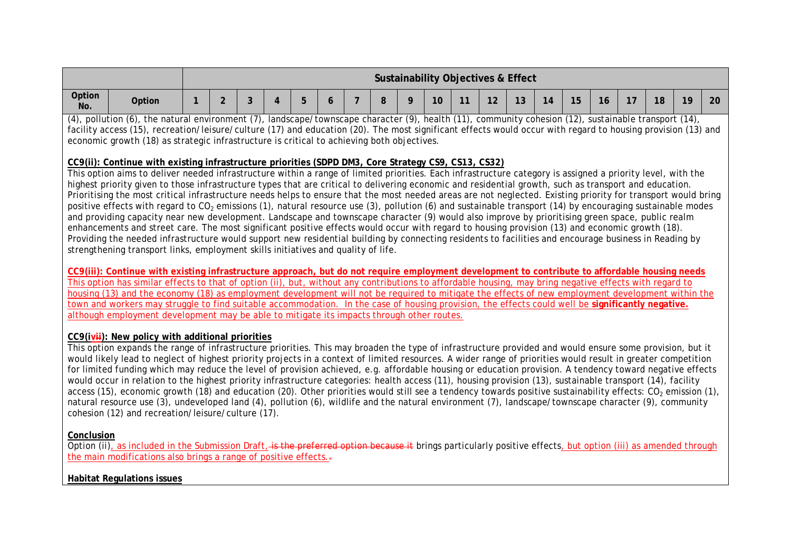|               |        |  |  |  |  | Sustainability Objectives & Effect |        |                 |           |    |                      |    |    |    |    |
|---------------|--------|--|--|--|--|------------------------------------|--------|-----------------|-----------|----|----------------------|----|----|----|----|
| Option<br>No. | Option |  |  |  |  | 10                                 | $\sim$ | 10<br><u>12</u> | 10<br>ک ا | 14 | $\sim$ $\sim$<br>ט ו | -- | 18 | 19 | 20 |

(4), pollution (6), the natural environment (7), landscape/townscape character (9), health (11), community cohesion (12), sustainable transport (14), facility access (15), recreation/leisure/culture (17) and education (20). The most significant effects would occur with regard to housing provision (13) and economic growth (18) as strategic infrastructure is critical to achieving both objectives.

#### **CC9(ii): Continue with existing infrastructure priorities (SDPD DM3, Core Strategy CS9, CS13, CS32)**

This option aims to deliver needed infrastructure within a range of limited priorities. Each infrastructure category is assigned a priority level, with the highest priority given to those infrastructure types that are critical to delivering economic and residential growth, such as transport and education. Prioritising the most critical infrastructure needs helps to ensure that the most needed areas are not neglected. Existing priority for transport would bring positive effects with regard to  $CO<sub>2</sub>$  emissions (1), natural resource use (3), pollution (6) and sustainable transport (14) by encouraging sustainable modes and providing capacity near new development. Landscape and townscape character (9) would also improve by prioritising green space, public realm enhancements and street care. The most significant positive effects would occur with regard to housing provision (13) and economic growth (18). Providing the needed infrastructure would support new residential building by connecting residents to facilities and encourage business in Reading by strengthening transport links, employment skills initiatives and quality of life.

**CC9(iii): Continue with existing infrastructure approach, but do not require employment development to contribute to affordable housing needs** This option has similar effects to that of option (ii), but, without any contributions to affordable housing, may bring negative effects with regard to housing (13) and the economy (18) as employment development will not be required to mitigate the effects of new employment development within the town and workers may struggle to find suitable accommodation. In the case of housing provision, the effects could well be **significantly negative.** although employment development may be able to mitigate its impacts through other routes.

#### **CC9(ivii): New policy with additional priorities**

This option expands the range of infrastructure priorities. This may broaden the type of infrastructure provided and would ensure some provision, but it would likely lead to neglect of highest priority projects in a context of limited resources. A wider range of priorities would result in greater competition for limited funding which may reduce the level of provision achieved, e.g. affordable housing or education provision. A tendency toward negative effects would occur in relation to the highest priority infrastructure categories: health access (11), housing provision (13), sustainable transport (14), facility access (15), economic growth (18) and education (20). Other priorities would still see a tendency towards positive sustainability effects:  $CO<sub>2</sub>$  emission (1), natural resource use (3), undeveloped land (4), pollution (6), wildlife and the natural environment (7), landscape/townscape character (9), community cohesion (12) and recreation/leisure/culture (17).

#### **Conclusion**

Option (ii), as included in the Submission Draft, is the preferred option because it brings particularly positive effects, but option (iii) as amended through the main modifications also brings a range of positive effects.

#### **Habitat Regulations issues**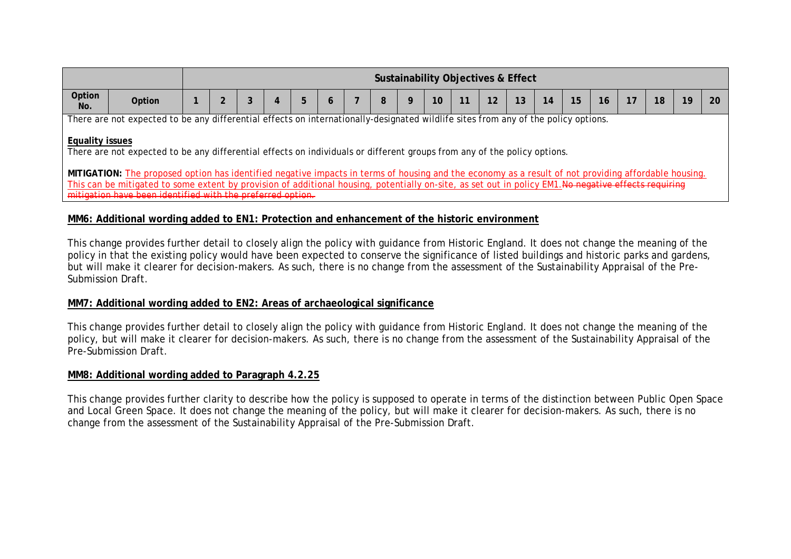|                        |                                                                                                                                                       |  |  |   |   |   |                 |    | Sustainability Objectives & Effect |    |    |    |    |    |    |    |
|------------------------|-------------------------------------------------------------------------------------------------------------------------------------------------------|--|--|---|---|---|-----------------|----|------------------------------------|----|----|----|----|----|----|----|
| Option<br>No.          | Option                                                                                                                                                |  |  | b | 8 | 9 | 10 <sup>°</sup> | 11 | 12                                 | 13 | 14 | 15 | 16 | 18 | 19 | 20 |
|                        | There are not expected to be any differential effects on internationally-designated wildlife sites from any of the policy options.                    |  |  |   |   |   |                 |    |                                    |    |    |    |    |    |    |    |
| <b>Equality issues</b> | There are not expected to be any differential effects on individuals or different groups from any of the policy options.                              |  |  |   |   |   |                 |    |                                    |    |    |    |    |    |    |    |
|                        | MITIGATION: The proposed option has identified negative impacts in terms of housing and the economy as a result of not providing affordable housing.  |  |  |   |   |   |                 |    |                                    |    |    |    |    |    |    |    |
|                        | This can be mitigated to some extent by provision of additional housing, potentially on-site, as set out in policy EM1. No negative effects requiring |  |  |   |   |   |                 |    |                                    |    |    |    |    |    |    |    |
|                        | mitigation have been identified with the preferred option.                                                                                            |  |  |   |   |   |                 |    |                                    |    |    |    |    |    |    |    |

## **MM6: Additional wording added to EN1: Protection and enhancement of the historic environment**

This change provides further detail to closely align the policy with guidance from Historic England. It does not change the meaning of the policy in that the existing policy would have been expected to conserve the significance of listed buildings and historic parks and gardens, but will make it clearer for decision-makers. As such, there is no change from the assessment of the Sustainability Appraisal of the Pre-Submission Draft.

#### **MM7: Additional wording added to EN2: Areas of archaeological significance**

This change provides further detail to closely align the policy with guidance from Historic England. It does not change the meaning of the policy, but will make it clearer for decision-makers. As such, there is no change from the assessment of the Sustainability Appraisal of the Pre-Submission Draft.

#### **MM8: Additional wording added to Paragraph 4.2.25**

This change provides further clarity to describe how the policy is supposed to operate in terms of the distinction between Public Open Space and Local Green Space. It does not change the meaning of the policy, but will make it clearer for decision-makers. As such, there is no change from the assessment of the Sustainability Appraisal of the Pre-Submission Draft.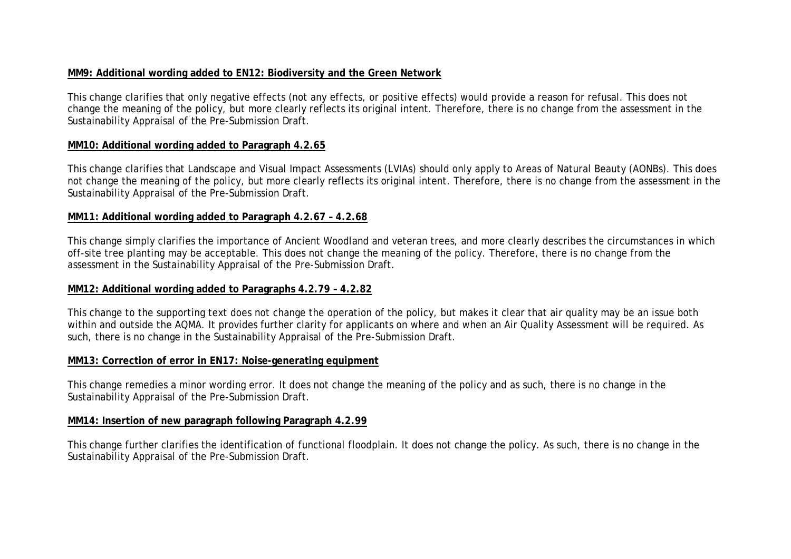# **MM9: Additional wording added to EN12: Biodiversity and the Green Network**

This change clarifies that only negative effects (not any effects, or positive effects) would provide a reason for refusal. This does not change the meaning of the policy, but more clearly reflects its original intent. Therefore, there is no change from the assessment in the Sustainability Appraisal of the Pre-Submission Draft.

#### **MM10: Additional wording added to Paragraph 4.2.65**

This change clarifies that Landscape and Visual Impact Assessments (LVIAs) should only apply to Areas of Natural Beauty (AONBs). This does not change the meaning of the policy, but more clearly reflects its original intent. Therefore, there is no change from the assessment in the Sustainability Appraisal of the Pre-Submission Draft.

#### **MM11: Additional wording added to Paragraph 4.2.67 – 4.2.68**

This change simply clarifies the importance of Ancient Woodland and veteran trees, and more clearly describes the circumstances in which off-site tree planting may be acceptable. This does not change the meaning of the policy. Therefore, there is no change from the assessment in the Sustainability Appraisal of the Pre-Submission Draft.

#### **MM12: Additional wording added to Paragraphs 4.2.79 – 4.2.82**

This change to the supporting text does not change the operation of the policy, but makes it clear that air quality may be an issue both within and outside the AQMA. It provides further clarity for applicants on where and when an Air Quality Assessment will be required. As such, there is no change in the Sustainability Appraisal of the Pre-Submission Draft.

#### **MM13: Correction of error in EN17: Noise-generating equipment**

This change remedies a minor wording error. It does not change the meaning of the policy and as such, there is no change in the Sustainability Appraisal of the Pre-Submission Draft.

#### **MM14: Insertion of new paragraph following Paragraph 4.2.99**

This change further clarifies the identification of functional floodplain. It does not change the policy. As such, there is no change in the Sustainability Appraisal of the Pre-Submission Draft.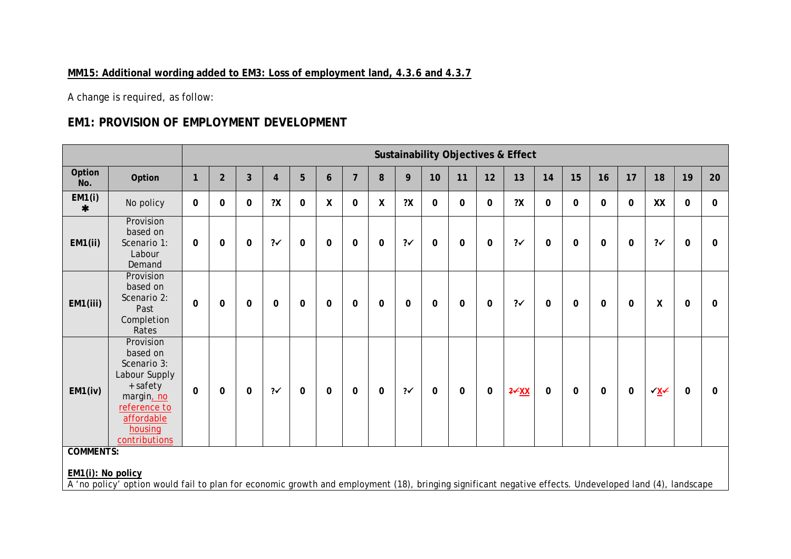# **MM15: Additional wording added to EM3: Loss of employment land, 4.3.6 and 4.3.7**

A change is required, as follow:

# **EM1: PROVISION OF EMPLOYMENT DEVELOPMENT**

|                                                       |                                                                                                                                           |              |                |                |                         |              |                    |                |                    |                   |             |              |             | <b>Sustainability Objectives &amp; Effect</b> |             |             |             |             |                                                                                          |             |             |
|-------------------------------------------------------|-------------------------------------------------------------------------------------------------------------------------------------------|--------------|----------------|----------------|-------------------------|--------------|--------------------|----------------|--------------------|-------------------|-------------|--------------|-------------|-----------------------------------------------|-------------|-------------|-------------|-------------|------------------------------------------------------------------------------------------|-------------|-------------|
| Option<br>No.                                         | Option                                                                                                                                    | $\mathbf{1}$ | $\overline{2}$ | $\overline{3}$ | $\overline{\mathbf{4}}$ | 5            | 6                  | $\overline{7}$ | 8                  | 9                 | 10          | 11           | 12          | 13                                            | 14          | 15          | 16          | 17          | 18                                                                                       | 19          | 20          |
| EM1(i)<br>$\ast$                                      | No policy                                                                                                                                 | 0            | 0              | 0              | 2X                      | $\mathbf 0$  | $\pmb{\mathsf{X}}$ | $\mathbf 0$    | $\mathsf{X}% _{0}$ | 2X                | $\mathbf 0$ | $\Omega$     | $\pmb{0}$   | 2X                                            | $\mathbf 0$ | $\mathbf 0$ | $\mathbf 0$ | $\mathbf 0$ | XX                                                                                       | $\mathbf 0$ | 0           |
| EM1(ii)                                               | Provision<br>based on<br>Scenario 1:<br>Labour<br>Demand                                                                                  | $\mathbf{0}$ | 0              | 0              | $2\checkmark$           | 0            | 0                  | $\mathbf 0$    | $\mathbf 0$        | $? \checkmark$    | $\mathbf 0$ | 0            | $\pmb{0}$   | $2\checkmark$                                 | $\mathbf 0$ | 0           | 0           | $\mathbf 0$ | $2\checkmark$                                                                            | 0           | 0           |
| EM1(iii)                                              | Provision<br>based on<br>Scenario 2:<br>Past<br>Completion<br>Rates                                                                       | $\mathbf 0$  | 0              | 0              | $\pmb{0}$               | $\mathbf 0$  | $\mathbf 0$        | $\mathbf 0$    | $\mathbf 0$        | $\mathbf 0$       | $\mathbf 0$ | 0            | $\pmb{0}$   | $2\checkmark$                                 | $\mathbf 0$ | $\mathbf 0$ | $\mathbf 0$ | $\mathbf 0$ | X                                                                                        | 0           | 0           |
| EM1(iv)                                               | Provision<br>based on<br>Scenario 3:<br>Labour Supply<br>+ safety<br>margin, no<br>reference to<br>affordable<br>housing<br>contributions | $\mathbf 0$  | 0              | $\mathbf 0$    | $2\checkmark$           | $\mathbf{0}$ | 0                  | $\mathbf 0$    | $\mathbf 0$        | $2\checkmark$     | 0           | $\mathbf{0}$ | $\mathbf 0$ | $2 \times$ XX                                 | $\mathbf 0$ | 0           | 0           | $\mathbf 0$ | $\sqrt{X}$                                                                               | 0           | $\mathbf 0$ |
| <b>COMMENTS:</b><br>EM1(i): No policy<br>$\mathbf{A}$ | and the contract and the contract of<br>$\alpha$ , and all $\alpha$ and all $\alpha$ and $\alpha$ and $\alpha$                            |              |                |                |                         |              |                    |                |                    | $\pm$ (4.0) $\pm$ |             |              |             |                                               |             |             |             |             | $\mathcal{C}\mathcal{C}$ and the dependence of the set $\mathcal{A}$ $\Lambda$ . The set |             |             |

A 'no policy' option would fail to plan for economic growth and employment (18), bringing significant negative effects. Undeveloped land (4), landscape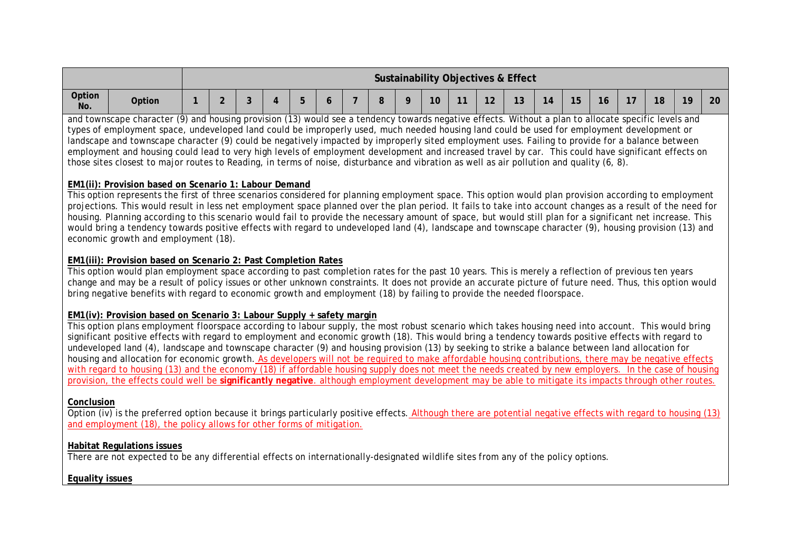|               |        |   |   |   |  |  |    |        |          | Sustainability Objectives & Effect |     |                     |    |        |    |    |    |
|---------------|--------|---|---|---|--|--|----|--------|----------|------------------------------------|-----|---------------------|----|--------|----|----|----|
| Option<br>No. | Option | ⌒ | ◠ | ∽ |  |  | 10 | $-111$ | 10<br>▎∠ | 13                                 | 14. | $\sim$ $\sim$<br>15 | 16 | $\sim$ | 18 | 19 | 20 |

and townscape character (9) and housing provision (13) would see a tendency towards negative effects. Without a plan to allocate specific levels and types of employment space, undeveloped land could be improperly used, much needed housing land could be used for employment development or landscape and townscape character (9) could be negatively impacted by improperly sited employment uses. Failing to provide for a balance between employment and housing could lead to very high levels of employment development and increased travel by car. This could have significant effects on those sites closest to major routes to Reading, in terms of noise, disturbance and vibration as well as air pollution and quality (6, 8).

#### **EM1(ii): Provision based on Scenario 1: Labour Demand**

This option represents the first of three scenarios considered for planning employment space. This option would plan provision according to employment projections. This would result in less net employment space planned over the plan period. It fails to take into account changes as a result of the need for housing. Planning according to this scenario would fail to provide the necessary amount of space, but would still plan for a significant net increase. This would bring a tendency towards positive effects with regard to undeveloped land (4), landscape and townscape character (9), housing provision (13) and economic growth and employment (18).

#### **EM1(iii): Provision based on Scenario 2: Past Completion Rates**

This option would plan employment space according to past completion rates for the past 10 years. This is merely a reflection of previous ten years change and may be a result of policy issues or other unknown constraints. It does not provide an accurate picture of future need. Thus, this option would bring negative benefits with regard to economic growth and employment (18) by failing to provide the needed floorspace.

#### **EM1(iv): Provision based on Scenario 3: Labour Supply + safety margin**

This option plans employment floorspace according to labour supply, the most robust scenario which takes housing need into account. This would bring significant positive effects with regard to employment and economic growth (18). This would bring a tendency towards positive effects with regard to undeveloped land (4), landscape and townscape character (9) and housing provision (13) by seeking to strike a balance between land allocation for housing and allocation for economic growth. As developers will not be required to make affordable housing contributions, there may be negative effects with regard to housing (13) and the economy (18) if affordable housing supply does not meet the needs created by new employers. In the case of housing provision, the effects could well be **significantly negative**. although employment development may be able to mitigate its impacts through other routes.

#### **Conclusion**

 $\overline{q}$  Option (iv) is the preferred option because it brings particularly positive effects. Although there are potential negative effects with regard to housing (13) and employment (18), the policy allows for other forms of mitigation.

#### **Habitat Regulations issues**

There are not expected to be any differential effects on internationally-designated wildlife sites from any of the policy options.

#### **Equality issues**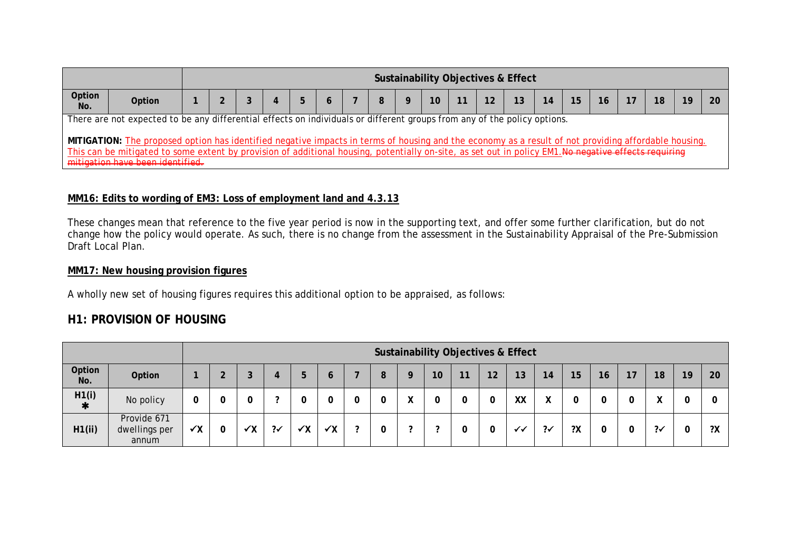|               |                                                                                                                                                                                                                                                                                                                                                                                                                                                                              |  |  |  |  |    |  | <b>Sustainability Objectives &amp; Effect</b> |                 |  |  |  |
|---------------|------------------------------------------------------------------------------------------------------------------------------------------------------------------------------------------------------------------------------------------------------------------------------------------------------------------------------------------------------------------------------------------------------------------------------------------------------------------------------|--|--|--|--|----|--|-----------------------------------------------|-----------------|--|--|--|
| Option<br>No. | <b>Option</b>                                                                                                                                                                                                                                                                                                                                                                                                                                                                |  |  |  |  | 10 |  |                                               | 15 <sub>1</sub> |  |  |  |
|               | There are not expected to be any differential effects on individuals or different groups from any of the policy options.<br>MITIGATION: The proposed option has identified negative impacts in terms of housing and the economy as a result of not providing affordable housing.<br>This can be mitigated to some extent by provision of additional housing, potentially on-site, as set out in policy EM1.No negative effects requiring<br>mitigation have been identified. |  |  |  |  |    |  |                                               |                 |  |  |  |

# **MM16: Edits to wording of EM3: Loss of employment land and 4.3.13**

These changes mean that reference to the five year period is now in the supporting text, and offer some further clarification, but do not change how the policy would operate. As such, there is no change from the assessment in the Sustainability Appraisal of the Pre-Submission Draft Local Plan.

## **MM17: New housing provision figures**

A wholly new set of housing figures requires this additional option to be appraised, as follows:

# **H1: PROVISION OF HOUSING**

|                 |                                       |              |    |               |              |              |   |   |                   |    | <b>Sustainability Objectives &amp; Effect</b> |    |    |               |    |    |    |               |    |    |
|-----------------|---------------------------------------|--------------|----|---------------|--------------|--------------|---|---|-------------------|----|-----------------------------------------------|----|----|---------------|----|----|----|---------------|----|----|
| Option<br>No.   | Option                                | ٠            |    |               | b            | Ю            |   | 8 | Q                 | 10 | 11                                            | 12 | 13 | 14            | 15 | 16 | 17 | 18            | 19 | 20 |
| H1(i)<br>$\ast$ | No policy                             | 0            |    | ◠             |              |              |   | υ | $\checkmark$<br>Λ | 0  |                                               | 0  | XX | χ             | 0  |    |    |               | υ  |    |
| H1(ii)          | Provide 671<br>dwellings per<br>annum | $\checkmark$ | ✔Χ | $2\checkmark$ | $\checkmark$ | $\checkmark$ | ◠ | v | $\sqrt{2}$        | ◠  |                                               | 0  | ✓✓ | $2\checkmark$ | ?Χ | 0  |    | $2\checkmark$ | 0  | ?Χ |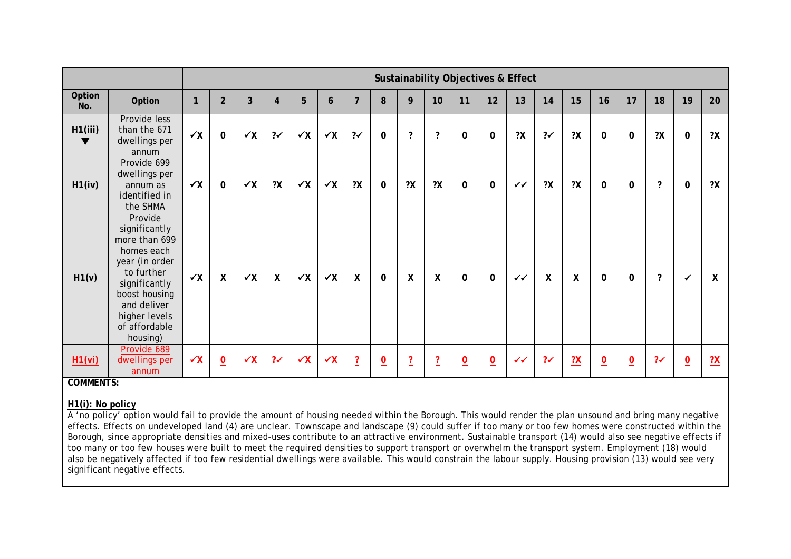|               |                                                                                                                                                                                        |              |                 |                |                          |              |              |                |                 |                |                | <b>Sustainability Objectives &amp; Effect</b> |                |              |                |                           |                |                |                     |                 |    |
|---------------|----------------------------------------------------------------------------------------------------------------------------------------------------------------------------------------|--------------|-----------------|----------------|--------------------------|--------------|--------------|----------------|-----------------|----------------|----------------|-----------------------------------------------|----------------|--------------|----------------|---------------------------|----------------|----------------|---------------------|-----------------|----|
| Option<br>No. | Option                                                                                                                                                                                 | $\mathbf{1}$ | $\overline{2}$  | $\overline{3}$ | $\overline{4}$           | 5            | 6            | $\overline{7}$ | 8               | 9              | 10             | 11                                            | 12             | 13           | 14             | 15                        | 16             | 17             | 18                  | 19              | 20 |
| H1(iii)<br>v  | Provide less<br>than the 671<br>dwellings per<br>annum                                                                                                                                 | $\checkmark$ | $\mathbf 0$     | $\checkmark$   | $2\checkmark$            | $\checkmark$ | $\checkmark$ | $2\checkmark$  | 0               | 2              | 2              | 0                                             | $\mathbf 0$    | 2X           | $2\checkmark$  | 2X                        | $\mathbf 0$    | $\mathbf 0$    | 2X                  | 0               | 2X |
| H1(iv)        | Provide 699<br>dwellings per<br>annum as<br>identified in<br>the SHMA                                                                                                                  | $\checkmark$ | $\mathbf 0$     | $\checkmark$   | 2X                       | $\checkmark$ | $\checkmark$ | 2X             | 0               | 2X             | 2X             | 0                                             | $\mathbf 0$    | $\checkmark$ | 2X             | 2X                        | 0              | $\mathbf 0$    | $\boldsymbol{\eta}$ | 0               | 2X |
| H1(v)         | Provide<br>significantly<br>more than 699<br>homes each<br>year (in order<br>to further<br>significantly<br>boost housing<br>and deliver<br>higher levels<br>of affordable<br>housing) | $\checkmark$ | $\mathsf{X}$    | $\checkmark$   | X                        | $\checkmark$ | $\checkmark$ | X              | $\mathbf 0$     | X              | X              | $\mathbf{0}$                                  | $\mathbf 0$    | $\checkmark$ | $\mathsf{X}$   | $\boldsymbol{\mathsf{X}}$ | $\mathbf{0}$   | $\mathbf 0$    | $\boldsymbol{\eta}$ | $\checkmark$    | X  |
| H1(vi)        | Provide 689<br>dwellings per<br>annum                                                                                                                                                  | $\checkmark$ | $\underline{0}$ | $\checkmark$   | $\frac{? \checkmark}{?}$ | $\checkmark$ | $\sqrt{X}$   | $\overline{?}$ | $\underline{0}$ | $\overline{?}$ | $\overline{2}$ | $\overline{0}$                                | $\overline{0}$ | $\checkmark$ | $\frac{?'}{?}$ | $\frac{2}{1}$             | $\overline{0}$ | $\overline{0}$ | $2\checkmark$       | $\underline{0}$ | ?X |

**COMMENTS:**

#### **H1(i): No policy**

A 'no policy' option would fail to provide the amount of housing needed within the Borough. This would render the plan unsound and bring many negative effects. Effects on undeveloped land (4) are unclear. Townscape and landscape (9) could suffer if too many or too few homes were constructed within the Borough, since appropriate densities and mixed-uses contribute to an attractive environment. Sustainable transport (14) would also see negative effects if too many or too few houses were built to meet the required densities to support transport or overwhelm the transport system. Employment (18) would also be negatively affected if too few residential dwellings were available. This would constrain the labour supply. Housing provision (13) would see very significant negative effects.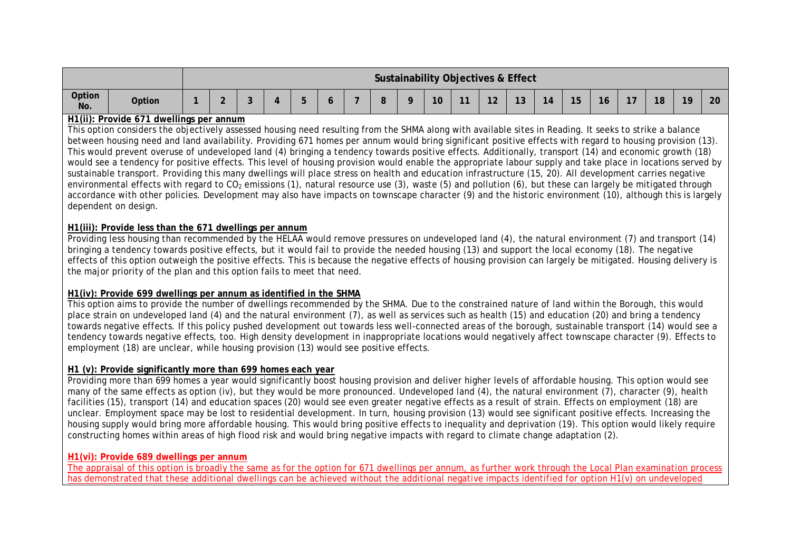|               |        |  |  |   |  |    |    |                     | Sustainability Objectives & Effect |    |                       |  |    |    |    |
|---------------|--------|--|--|---|--|----|----|---------------------|------------------------------------|----|-----------------------|--|----|----|----|
| Option<br>No. | Option |  |  | - |  | R. | 10 | $\sim$<br><u>12</u> | ่ 1 ว<br>l J                       | 14 | $\sim$ $\sim$<br>ּשׁו |  | 18 | 10 | 20 |

#### **H1(ii): Provide 671 dwellings per annum**

This option considers the objectively assessed housing need resulting from the SHMA along with available sites in Reading. It seeks to strike a balance between housing need and land availability. Providing 671 homes per annum would bring significant positive effects with regard to housing provision (13). This would prevent overuse of undeveloped land (4) bringing a tendency towards positive effects. Additionally, transport (14) and economic growth (18) would see a tendency for positive effects. This level of housing provision would enable the appropriate labour supply and take place in locations served by sustainable transport. Providing this many dwellings will place stress on health and education infrastructure (15, 20). All development carries negative environmental effects with regard to  $CO<sub>2</sub>$  emissions (1), natural resource use (3), waste (5) and pollution (6), but these can largely be mitigated through accordance with other policies. Development may also have impacts on townscape character (9) and the historic environment (10), although this is largely dependent on design.

#### **H1(iii): Provide less than the 671 dwellings per annum**

Providing less housing than recommended by the HELAA would remove pressures on undeveloped land (4), the natural environment (7) and transport (14) bringing a tendency towards positive effects, but it would fail to provide the needed housing (13) and support the local economy (18). The negative effects of this option outweigh the positive effects. This is because the negative effects of housing provision can largely be mitigated. Housing delivery is the major priority of the plan and this option fails to meet that need.

#### **H1(iv): Provide 699 dwellings per annum as identified in the SHMA**

This option aims to provide the number of dwellings recommended by the SHMA. Due to the constrained nature of land within the Borough, this would place strain on undeveloped land (4) and the natural environment (7), as well as services such as health (15) and education (20) and bring a tendency towards negative effects. If this policy pushed development out towards less well-connected areas of the borough, sustainable transport (14) would see a tendency towards negative effects, too. High density development in inappropriate locations would negatively affect townscape character (9). Effects to employment (18) are unclear, while housing provision (13) would see positive effects.

#### **H1 (v): Provide significantly more than 699 homes each year**

Providing more than 699 homes a year would significantly boost housing provision and deliver higher levels of affordable housing. This option would see many of the same effects as option (iv), but they would be more pronounced. Undeveloped land (4), the natural environment (7), character (9), health facilities (15), transport (14) and education spaces (20) would see even greater negative effects as a result of strain. Effects on employment (18) are unclear. Employment space may be lost to residential development. In turn, housing provision (13) would see significant positive effects. Increasing the housing supply would bring more affordable housing. This would bring positive effects to inequality and deprivation (19). This option would likely require constructing homes within areas of high flood risk and would bring negative impacts with regard to climate change adaptation (2).

#### **H1(vi): Provide 689 dwellings per annum**

The appraisal of this option is broadly the same as for the option for 671 dwellings per annum, as further work through the Local Plan examination process has demonstrated that these additional dwellings can be achieved without the additional negative impacts identified for option H1(v) on undeveloped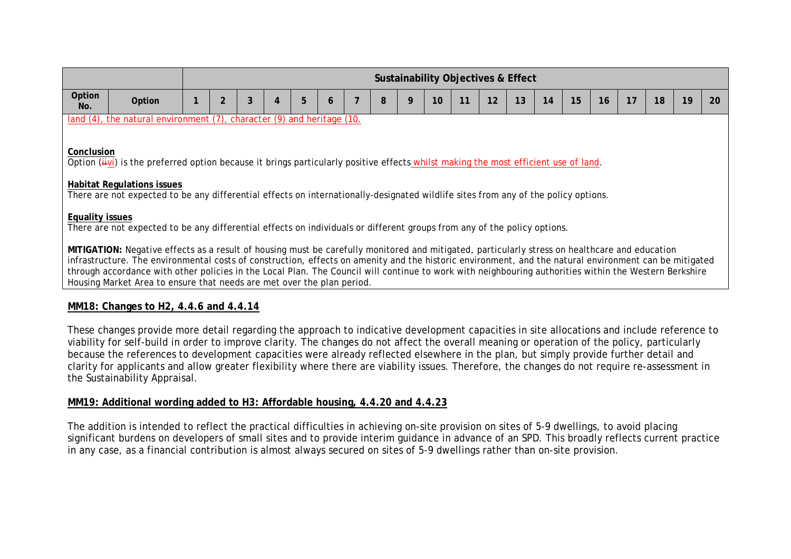|                        |                                                                                                                                                                                                                                                                                                                                                                                                                                                                                                                                              |                |   |   |   |   |   |    | <b>Sustainability Objectives &amp; Effect</b> |    |    |    |    |    |    |    |    |
|------------------------|----------------------------------------------------------------------------------------------------------------------------------------------------------------------------------------------------------------------------------------------------------------------------------------------------------------------------------------------------------------------------------------------------------------------------------------------------------------------------------------------------------------------------------------------|----------------|---|---|---|---|---|----|-----------------------------------------------|----|----|----|----|----|----|----|----|
| Option<br>No.          | Option                                                                                                                                                                                                                                                                                                                                                                                                                                                                                                                                       | $\overline{2}$ | 3 | 5 | 6 | 8 | 9 | 10 | 12                                            | 13 | 14 | 15 | 16 | 17 | 18 | 19 | 20 |
|                        | land (4), the natural environment (7), character (9) and heritage (10.                                                                                                                                                                                                                                                                                                                                                                                                                                                                       |                |   |   |   |   |   |    |                                               |    |    |    |    |    |    |    |    |
| Conclusion             | Option (iivi) is the preferred option because it brings particularly positive effects whilst making the most efficient use of land.<br><b>Habitat Regulations issues</b><br>There are not expected to be any differential effects on internationally-designated wildlife sites from any of the policy options.                                                                                                                                                                                                                               |                |   |   |   |   |   |    |                                               |    |    |    |    |    |    |    |    |
| <b>Equality issues</b> | There are not expected to be any differential effects on individuals or different groups from any of the policy options.                                                                                                                                                                                                                                                                                                                                                                                                                     |                |   |   |   |   |   |    |                                               |    |    |    |    |    |    |    |    |
|                        | MITIGATION: Negative effects as a result of housing must be carefully monitored and mitigated, particularly stress on healthcare and education<br>infrastructure. The environmental costs of construction, effects on amenity and the historic environment, and the natural environment can be mitigated<br>through accordance with other policies in the Local Plan. The Council will continue to work with neighbouring authorities within the Western Berkshire<br>Housing Market Area to ensure that needs are met over the plan period. |                |   |   |   |   |   |    |                                               |    |    |    |    |    |    |    |    |
|                        | MM18: Changes to H <sub>2</sub> , 4.4.6 and 4.4.14<br>These changes provide more detail regarding the approach to indicative development capacities in site allocations and include reference to                                                                                                                                                                                                                                                                                                                                             |                |   |   |   |   |   |    |                                               |    |    |    |    |    |    |    |    |

viability for self-build in order to improve clarity. The changes do not affect the overall meaning or operation of the policy, particularly because the references to development capacities were already reflected elsewhere in the plan, but simply provide further detail and clarity for applicants and allow greater flexibility where there are viability issues. Therefore, the changes do not require re-assessment in the Sustainability Appraisal.

#### **MM19: Additional wording added to H3: Affordable housing, 4.4.20 and 4.4.23**

The addition is intended to reflect the practical difficulties in achieving on-site provision on sites of 5-9 dwellings, to avoid placing significant burdens on developers of small sites and to provide interim guidance in advance of an SPD. This broadly reflects current practice in any case, as a financial contribution is almost always secured on sites of 5-9 dwellings rather than on-site provision.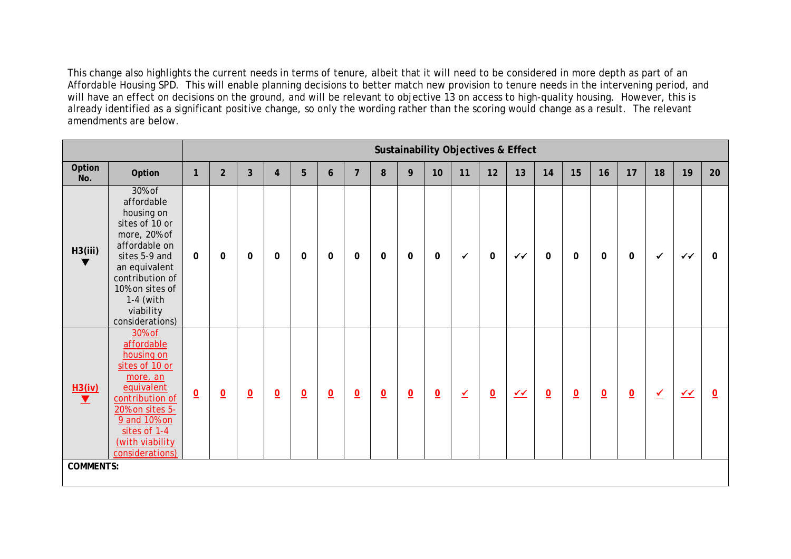This change also highlights the current needs in terms of tenure, albeit that it will need to be considered in more depth as part of an Affordable Housing SPD. This will enable planning decisions to better match new provision to tenure needs in the intervening period, and will have an effect on decisions on the ground, and will be relevant to objective 13 on access to high-quality housing. However, this is already identified as a significant positive change, so only the wording rather than the scoring would change as a result. The relevant amendments are below.

|                    |                                                                                                                                                                                                              |                          |                          |                |                         |                 |                  |                 |                 |                 |                          |                          |                         | <b>Sustainability Objectives &amp; Effect</b> |                         |                         |                |                 |                          |              |                |
|--------------------|--------------------------------------------------------------------------------------------------------------------------------------------------------------------------------------------------------------|--------------------------|--------------------------|----------------|-------------------------|-----------------|------------------|-----------------|-----------------|-----------------|--------------------------|--------------------------|-------------------------|-----------------------------------------------|-------------------------|-------------------------|----------------|-----------------|--------------------------|--------------|----------------|
| Option<br>No.      | Option                                                                                                                                                                                                       | $\mathbf{1}$             | $\overline{2}$           | $\overline{3}$ | $\overline{\mathbf{4}}$ | 5               | $\boldsymbol{6}$ | $\overline{7}$  | 8               | 9               | 10                       | 11                       | 12                      | 13                                            | 14                      | 15                      | 16             | 17              | 18                       | 19           | 20             |
| H3(iii)<br>v       | 30% of<br>affordable<br>housing on<br>sites of 10 or<br>more, 20% of<br>affordable on<br>sites 5-9 and<br>an equivalent<br>contribution of<br>10% on sites of<br>$1-4$ (with<br>viability<br>considerations) | $\Omega$                 | $\mathbf{0}$             | $\Omega$       | $\mathbf 0$             | $\mathbf 0$     | $\mathbf{0}$     | $\mathbf 0$     | $\Omega$        | $\mathbf{0}$    | $\mathbf 0$              | $\checkmark$             | $\mathbf 0$             | $\checkmark$                                  | $\mathbf 0$             | $\mathbf 0$             | $\mathbf 0$    | $\mathbf{0}$    | ✓                        | $\checkmark$ | $\Omega$       |
| $\frac{H3(iv)}{I}$ | 30% of<br>affordable<br>housing on<br>sites of 10 or<br>more, an<br>equivalent<br>contribution of<br>20% on sites 5-<br>9 and 10% on<br>sites of 1-4<br>(with viability<br>considerations)                   | $\underline{\mathbf{0}}$ | $\underline{\mathsf{O}}$ | $\overline{0}$ | $\underline{0}$         | $\underline{0}$ | $\underline{0}$  | $\underline{0}$ | $\underline{0}$ | $\underline{0}$ | $\underline{\mathsf{O}}$ | $\underline{\checkmark}$ | $\overline{\mathbf{0}}$ | $\sqrt{1}$                                    | $\overline{\mathbf{0}}$ | $\overline{\mathbf{0}}$ | $\overline{0}$ | $\underline{0}$ | $\overline{\mathscr{L}}$ | $\sqrt{4}$   | $\overline{0}$ |
| <b>COMMENTS:</b>   |                                                                                                                                                                                                              |                          |                          |                |                         |                 |                  |                 |                 |                 |                          |                          |                         |                                               |                         |                         |                |                 |                          |              |                |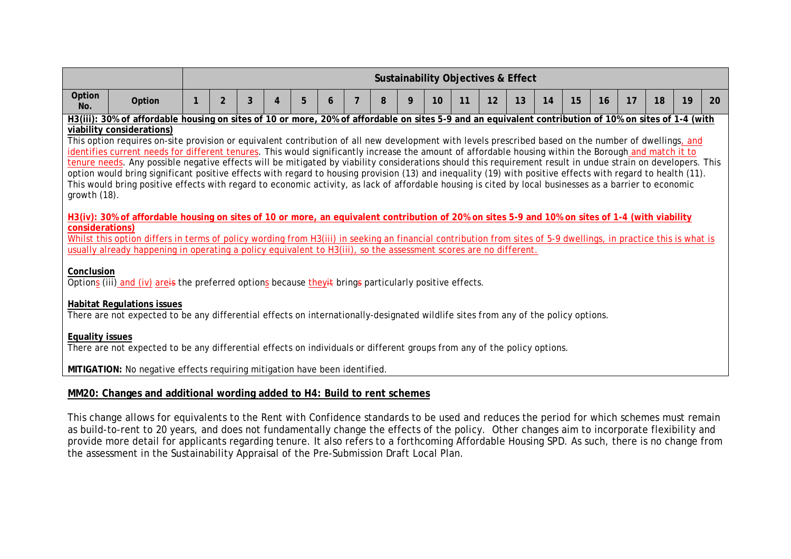|                                    |                                                                                                                                                                                                                                                                                                                                                                                                                                                                                                                                                                                                                                                                                                                                                                                                                                                                                                                                                                                                                                                                                                                                                    |                |   |   |   |   |   |   |    |    | <b>Sustainability Objectives &amp; Effect</b> |    |    |    |    |    |    |    |    |
|------------------------------------|----------------------------------------------------------------------------------------------------------------------------------------------------------------------------------------------------------------------------------------------------------------------------------------------------------------------------------------------------------------------------------------------------------------------------------------------------------------------------------------------------------------------------------------------------------------------------------------------------------------------------------------------------------------------------------------------------------------------------------------------------------------------------------------------------------------------------------------------------------------------------------------------------------------------------------------------------------------------------------------------------------------------------------------------------------------------------------------------------------------------------------------------------|----------------|---|---|---|---|---|---|----|----|-----------------------------------------------|----|----|----|----|----|----|----|----|
| Option<br>No.                      | Option                                                                                                                                                                                                                                                                                                                                                                                                                                                                                                                                                                                                                                                                                                                                                                                                                                                                                                                                                                                                                                                                                                                                             | $\overline{2}$ | 3 | 4 | 5 | 6 | 8 | 9 | 10 | 11 | 12                                            | 13 | 14 | 15 | 16 | 17 | 18 | 19 | 20 |
| growth $(18)$ .<br>considerations) | H3(iii): 30% of affordable housing on sites of 10 or more, 20% of affordable on sites 5-9 and an equivalent contribution of 10% on sites of 1-4 (with<br>viability considerations)<br>This option requires on-site provision or equivalent contribution of all new development with levels prescribed based on the number of dwellings, and<br>identifies current needs for different tenures. This would significantly increase the amount of affordable housing within the Borough and match it to<br>tenure needs. Any possible negative effects will be mitigated by viability considerations should this requirement result in undue strain on developers. This<br>option would bring significant positive effects with regard to housing provision (13) and inequality (19) with positive effects with regard to health (11).<br>This would bring positive effects with regard to economic activity, as lack of affordable housing is cited by local businesses as a barrier to economic<br>H3(iv): 30% of affordable housing on sites of 10 or more, an equivalent contribution of 20% on sites 5-9 and 10% on sites of 1-4 (with viability |                |   |   |   |   |   |   |    |    |                                               |    |    |    |    |    |    |    |    |
|                                    | Whilst this option differs in terms of policy wording from H3(iii) in seeking an financial contribution from sites of 5-9 dwellings, in practice this is what is<br>usually already happening in operating a policy equivalent to H3(iii), so the assessment scores are no different.                                                                                                                                                                                                                                                                                                                                                                                                                                                                                                                                                                                                                                                                                                                                                                                                                                                              |                |   |   |   |   |   |   |    |    |                                               |    |    |    |    |    |    |    |    |
| Conclusion                         | Options (iii) and (iv) are is the preferred options because they it brings particularly positive effects.                                                                                                                                                                                                                                                                                                                                                                                                                                                                                                                                                                                                                                                                                                                                                                                                                                                                                                                                                                                                                                          |                |   |   |   |   |   |   |    |    |                                               |    |    |    |    |    |    |    |    |
|                                    | <b>Habitat Regulations issues</b><br>There are not expected to be any differential effects on internationally-designated wildlife sites from any of the policy options.                                                                                                                                                                                                                                                                                                                                                                                                                                                                                                                                                                                                                                                                                                                                                                                                                                                                                                                                                                            |                |   |   |   |   |   |   |    |    |                                               |    |    |    |    |    |    |    |    |
| <b>Equality issues</b>             | There are not expected to be any differential effects on individuals or different groups from any of the policy options.                                                                                                                                                                                                                                                                                                                                                                                                                                                                                                                                                                                                                                                                                                                                                                                                                                                                                                                                                                                                                           |                |   |   |   |   |   |   |    |    |                                               |    |    |    |    |    |    |    |    |
|                                    | MITIGATION: No negative effects requiring mitigation have been identified.<br>MM20: Changes and additional wording added to H4: Build to rent schemes                                                                                                                                                                                                                                                                                                                                                                                                                                                                                                                                                                                                                                                                                                                                                                                                                                                                                                                                                                                              |                |   |   |   |   |   |   |    |    |                                               |    |    |    |    |    |    |    |    |

## This change allows for equivalents to the Rent with Confidence standards to be used and reduces the period for which schemes must remain as build-to-rent to 20 years, and does not fundamentally change the effects of the policy. Other changes aim to incorporate flexibility and provide more detail for applicants regarding tenure. It also refers to a forthcoming Affordable Housing SPD. As such, there is no change from the assessment in the Sustainability Appraisal of the Pre-Submission Draft Local Plan.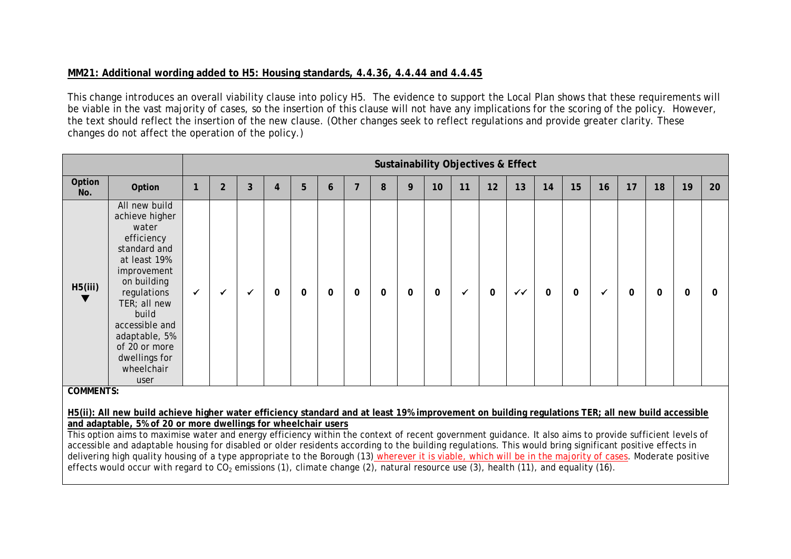# **MM21: Additional wording added to H5: Housing standards, 4.4.36, 4.4.44 and 4.4.45**

This change introduces an overall viability clause into policy H5. The evidence to support the Local Plan shows that these requirements will be viable in the vast majority of cases, so the insertion of this clause will not have any implications for the scoring of the policy. However, the text should reflect the insertion of the new clause. (Other changes seek to reflect regulations and provide greater clarity. These changes do not affect the operation of the policy.)

|                  |                                                                                                                                                                                                                                                         |   |                |   |          |   |          |          |          |   |    | <b>Sustainability Objectives &amp; Effect</b> |             |    |          |          |    |          |          |    |    |
|------------------|---------------------------------------------------------------------------------------------------------------------------------------------------------------------------------------------------------------------------------------------------------|---|----------------|---|----------|---|----------|----------|----------|---|----|-----------------------------------------------|-------------|----|----------|----------|----|----------|----------|----|----|
| Option<br>No.    | Option                                                                                                                                                                                                                                                  |   | $\overline{2}$ | 3 | 4        | 5 | 6        |          | 8        | 9 | 10 | 11                                            | 12          | 13 | 14       | 15       | 16 | 17       | 18       | 19 | 20 |
| H5(iii)          | All new build<br>achieve higher<br>water<br>efficiency<br>standard and<br>at least 19%<br>improvement<br>on building<br>regulations<br>TER; all new<br>build<br>accessible and<br>adaptable, 5%<br>of 20 or more<br>dwellings for<br>wheelchair<br>user | ✓ |                |   | $\Omega$ | 0 | $\Omega$ | $\Omega$ | $\Omega$ | 0 | 0  |                                               | $\mathbf 0$ | ✓✓ | $\Omega$ | $\Omega$ |    | $\Omega$ | $\Omega$ | O  | o  |
| <b>COMMENTS:</b> |                                                                                                                                                                                                                                                         |   |                |   |          |   |          |          |          |   |    |                                               |             |    |          |          |    |          |          |    |    |
|                  | H5(ii): All new build achieve higher water efficiency standard and at least 19% improvement on building regulations TER; all new build accessible                                                                                                       |   |                |   |          |   |          |          |          |   |    |                                               |             |    |          |          |    |          |          |    |    |
|                  | and adaptable, 5% of 20 or more dwellings for wheelchair users<br>This option aims to maximise water and energy efficiency within the context of recent government guidance. It also aims to provide sufficient levels of                               |   |                |   |          |   |          |          |          |   |    |                                               |             |    |          |          |    |          |          |    |    |
|                  | accessible and adaptable housing for disabled or older residents according to the building regulations. This would bring significant positive effects in                                                                                                |   |                |   |          |   |          |          |          |   |    |                                               |             |    |          |          |    |          |          |    |    |
|                  | delivering high quality housing of a type appropriate to the Borough (13) wherever it is viable, which will be in the majority of cases. Moderate positive                                                                                              |   |                |   |          |   |          |          |          |   |    |                                               |             |    |          |          |    |          |          |    |    |
|                  | effects would occur with regard to $CO2$ emissions (1), climate change (2), natural resource use (3), health (11), and equality (16).                                                                                                                   |   |                |   |          |   |          |          |          |   |    |                                               |             |    |          |          |    |          |          |    |    |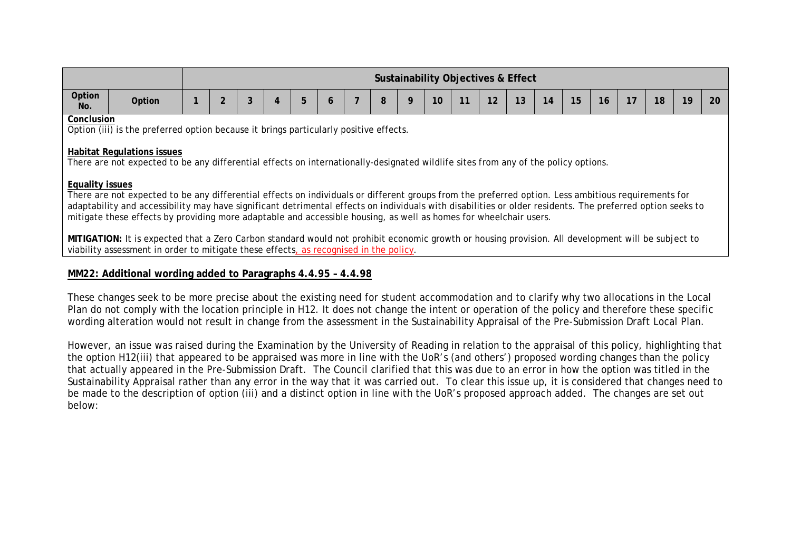|                        |                                                                                                                                                                                                                                                                                                                                                                                                                                        |  |                |   |   |   |          |  |   |   | Sustainability Objectives & Effect |    |    |    |    |    |    |    |    |    |    |
|------------------------|----------------------------------------------------------------------------------------------------------------------------------------------------------------------------------------------------------------------------------------------------------------------------------------------------------------------------------------------------------------------------------------------------------------------------------------|--|----------------|---|---|---|----------|--|---|---|------------------------------------|----|----|----|----|----|----|----|----|----|----|
| Option<br>No.          | Option                                                                                                                                                                                                                                                                                                                                                                                                                                 |  | $\overline{2}$ | 3 | 4 | 5 | $\sigma$ |  | 8 | 9 | 10                                 | 11 | 12 | 13 | 14 | 15 | 16 | 17 | 18 | 19 | 20 |
| Conclusion             |                                                                                                                                                                                                                                                                                                                                                                                                                                        |  |                |   |   |   |          |  |   |   |                                    |    |    |    |    |    |    |    |    |    |    |
|                        | Option (iii) is the preferred option because it brings particularly positive effects.<br><b>Habitat Regulations issues</b><br>There are not expected to be any differential effects on internationally-designated wildlife sites from any of the policy options.                                                                                                                                                                       |  |                |   |   |   |          |  |   |   |                                    |    |    |    |    |    |    |    |    |    |    |
| <b>Equality issues</b> | There are not expected to be any differential effects on individuals or different groups from the preferred option. Less ambitious requirements for<br>adaptability and accessibility may have significant detrimental effects on individuals with disabilities or older residents. The preferred option seeks to<br>mitigate these effects by providing more adaptable and accessible housing, as well as homes for wheelchair users. |  |                |   |   |   |          |  |   |   |                                    |    |    |    |    |    |    |    |    |    |    |
|                        | MITIGATION: It is expected that a Zero Carbon standard would not prohibit economic growth or housing provision. All development will be subject to<br>viability assessment in order to mitigate these effects, as recognised in the policy.                                                                                                                                                                                            |  |                |   |   |   |          |  |   |   |                                    |    |    |    |    |    |    |    |    |    |    |
|                        |                                                                                                                                                                                                                                                                                                                                                                                                                                        |  |                |   |   |   |          |  |   |   |                                    |    |    |    |    |    |    |    |    |    |    |

# **MM22: Additional wording added to Paragraphs 4.4.95 – 4.4.98**

These changes seek to be more precise about the existing need for student accommodation and to clarify why two allocations in the Local Plan do not comply with the location principle in H12. It does not change the intent or operation of the policy and therefore these specific wording alteration would not result in change from the assessment in the Sustainability Appraisal of the Pre-Submission Draft Local Plan.

However, an issue was raised during the Examination by the University of Reading in relation to the appraisal of this policy, highlighting that the option H12(iii) that appeared to be appraised was more in line with the UoR's (and others') proposed wording changes than the policy that actually appeared in the Pre-Submission Draft. The Council clarified that this was due to an error in how the option was titled in the Sustainability Appraisal rather than any error in the way that it was carried out. To clear this issue up, it is considered that changes need to be made to the description of option (iii) and a distinct option in line with the UoR's proposed approach added. The changes are set out below: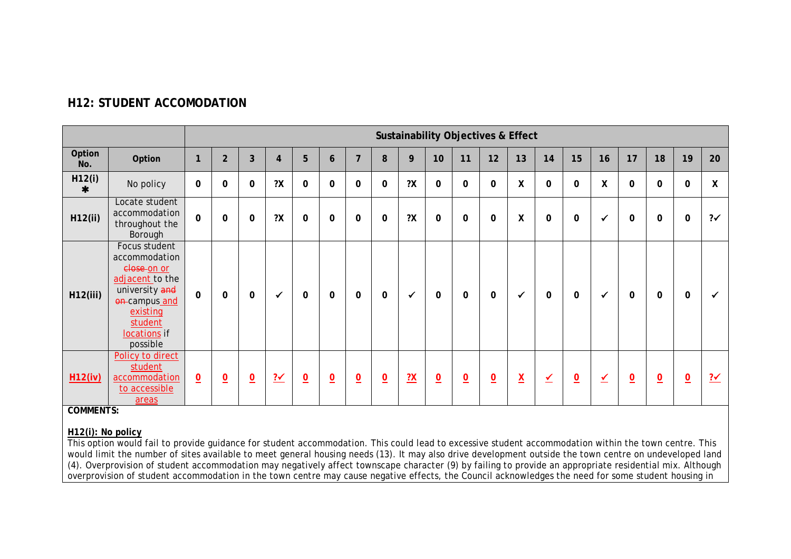|                  |                                                                                                                                                        |                |                 |                 |                          |                 |                 |                |                         |               |                 |                 | <b>Sustainability Objectives &amp; Effect</b> |                          |                         |                         |    |                         |                 |                 |                          |
|------------------|--------------------------------------------------------------------------------------------------------------------------------------------------------|----------------|-----------------|-----------------|--------------------------|-----------------|-----------------|----------------|-------------------------|---------------|-----------------|-----------------|-----------------------------------------------|--------------------------|-------------------------|-------------------------|----|-------------------------|-----------------|-----------------|--------------------------|
| Option<br>No.    | Option                                                                                                                                                 | $\mathbf{1}$   | $\overline{2}$  | 3               | 4                        | 5               | 6               | $\overline{7}$ | 8                       | 9             | 10              | 11              | 12                                            | 13                       | 14                      | 15                      | 16 | 17                      | 18              | 19              | 20                       |
| H12(i)<br>$\ast$ | No policy                                                                                                                                              | $\mathbf 0$    | $\mathbf 0$     | $\mathbf 0$     | ?X                       | $\mathbf 0$     | $\mathbf 0$     | $\mathbf 0$    | $\mathbf 0$             | 2X            | $\mathbf 0$     | $\mathbf 0$     | $\mathbf 0$                                   | $\pmb{\mathsf{X}}$       | $\mathbf 0$             | $\mathbf{0}$            | χ  | $\mathbf{0}$            | $\mathbf{0}$    | $\mathbf 0$     | $\mathsf{X}$             |
| H12(ii)          | Locate student<br>accommodation<br>throughout the<br>Borough                                                                                           | $\mathbf{0}$   | $\mathbf 0$     | $\mathbf 0$     | 2X                       | $\mathbf 0$     | $\mathbf 0$     | $\mathbf 0$    | $\mathbf 0$             | 2X            | $\mathbf 0$     | $\mathbf 0$     | $\mathbf 0$                                   | $\pmb{\mathsf{X}}$       | $\mathbf 0$             | $\mathbf{0}$            |    | 0                       | $\mathbf{0}$    | $\mathbf 0$     | $2\checkmark$            |
| H12(iii)         | Focus student<br>accommodation<br>close on or<br>adjacent to the<br>university and<br>on-campus and<br>existing<br>student<br>locations if<br>possible | $\mathbf 0$    | $\mathbf 0$     | 0               | $\checkmark$             | 0               | $\mathbf 0$     | 0              | 0                       | ✓             | 0               | $\mathbf{0}$    | $\mathbf 0$                                   | $\checkmark$             | 0                       | $\Omega$                |    | 0                       | $\mathbf{0}$    | $\mathbf 0$     |                          |
| H12(iv)          | Policy to direct<br>student<br>accommodation<br>to accessible<br>areas                                                                                 | $\overline{0}$ | $\underline{0}$ | $\underline{0}$ | $\frac{? \checkmark}{?}$ | $\underline{0}$ | $\underline{0}$ | $\overline{0}$ | $\overline{\mathbf{0}}$ | $\frac{2}{1}$ | $\underline{0}$ | $\underline{0}$ | $\underline{0}$                               | $\underline{\mathsf{X}}$ | $\overline{\mathbf{Y}}$ | $\overline{\mathbf{0}}$ | ✔  | $\overline{\mathbf{0}}$ | $\underline{0}$ | $\underline{0}$ | $\frac{? \checkmark}{?}$ |

# **H12: STUDENT ACCOMODATION**

**COMMENTS:**

#### **H12(i): No policy**

This option would fail to provide guidance for student accommodation. This could lead to excessive student accommodation within the town centre. This would limit the number of sites available to meet general housing needs (13). It may also drive development outside the town centre on undeveloped land (4). Overprovision of student accommodation may negatively affect townscape character (9) by failing to provide an appropriate residential mix. Although overprovision of student accommodation in the town centre may cause negative effects, the Council acknowledges the need for some student housing in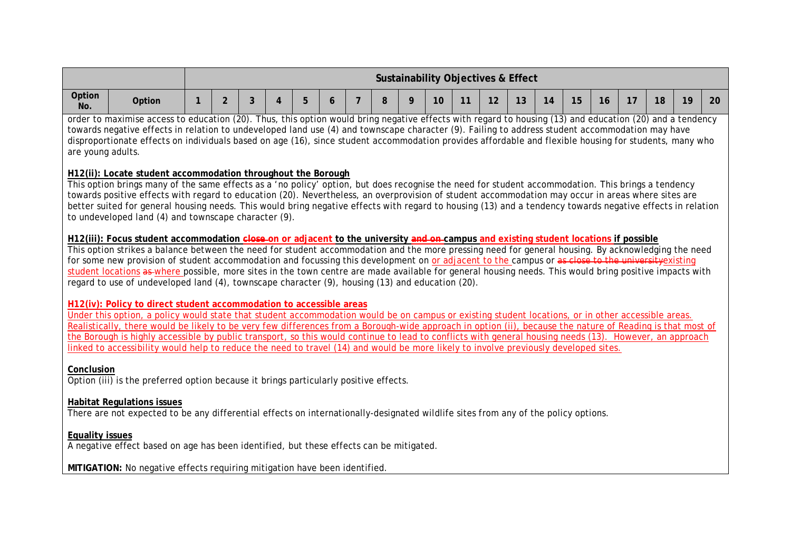|                        |                                                                                                                                                                                                                                                                                                                                                                                                                                                                                                                                                                                                                                                                                                                  |                |   |   |   |   |   |   |   |    |    | <b>Sustainability Objectives &amp; Effect</b> |    |    |    |    |    |    |    |    |
|------------------------|------------------------------------------------------------------------------------------------------------------------------------------------------------------------------------------------------------------------------------------------------------------------------------------------------------------------------------------------------------------------------------------------------------------------------------------------------------------------------------------------------------------------------------------------------------------------------------------------------------------------------------------------------------------------------------------------------------------|----------------|---|---|---|---|---|---|---|----|----|-----------------------------------------------|----|----|----|----|----|----|----|----|
| Option<br>No.          | Option                                                                                                                                                                                                                                                                                                                                                                                                                                                                                                                                                                                                                                                                                                           | $\overline{2}$ | 3 | 4 | 5 | 6 | 7 | 8 | 9 | 10 | 11 | 12                                            | 13 | 14 | 15 | 16 | 17 | 18 | 19 | 20 |
| are young adults.      | order to maximise access to education (20). Thus, this option would bring negative effects with regard to housing (13) and education (20) and a tendency<br>towards negative effects in relation to undeveloped land use (4) and townscape character (9). Failing to address student accommodation may have<br>disproportionate effects on individuals based on age (16), since student accommodation provides affordable and flexible housing for students, many who                                                                                                                                                                                                                                            |                |   |   |   |   |   |   |   |    |    |                                               |    |    |    |    |    |    |    |    |
|                        | H12(ii): Locate student accommodation throughout the Borough<br>This option brings many of the same effects as a 'no policy' option, but does recognise the need for student accommodation. This brings a tendency<br>towards positive effects with regard to education (20). Nevertheless, an overprovision of student accommodation may occur in areas where sites are<br>better suited for general housing needs. This would bring negative effects with regard to housing (13) and a tendency towards negative effects in relation<br>to undeveloped land (4) and townscape character (9).                                                                                                                   |                |   |   |   |   |   |   |   |    |    |                                               |    |    |    |    |    |    |    |    |
|                        | H12(iii): Focus student accommodation close-on or adjacent to the university and en-campus and existing student locations if possible<br>This option strikes a balance between the need for student accommodation and the more pressing need for general housing. By acknowledging the need<br>for some new provision of student accommodation and focussing this development on or adjacent to the campus or as close to the university existing<br>student locations as where possible, more sites in the town centre are made available for general housing needs. This would bring positive impacts with<br>regard to use of undeveloped land (4), townscape character (9), housing (13) and education (20). |                |   |   |   |   |   |   |   |    |    |                                               |    |    |    |    |    |    |    |    |
|                        | H12(iv): Policy to direct student accommodation to accessible areas<br>Under this option, a policy would state that student accommodation would be on campus or existing student locations, or in other accessible areas.<br>Realistically, there would be likely to be very few differences from a Borough-wide approach in option (ii), because the nature of Reading is that most of<br>the Borough is highly accessible by public transport, so this would continue to lead to conflicts with general housing needs (13). However, an approach<br>linked to accessibility would help to reduce the need to travel (14) and would be more likely to involve previously developed sites.                       |                |   |   |   |   |   |   |   |    |    |                                               |    |    |    |    |    |    |    |    |
| Conclusion             | Option (iii) is the preferred option because it brings particularly positive effects.                                                                                                                                                                                                                                                                                                                                                                                                                                                                                                                                                                                                                            |                |   |   |   |   |   |   |   |    |    |                                               |    |    |    |    |    |    |    |    |
|                        | <b>Habitat Regulations issues</b><br>There are not expected to be any differential effects on internationally-designated wildlife sites from any of the policy options.                                                                                                                                                                                                                                                                                                                                                                                                                                                                                                                                          |                |   |   |   |   |   |   |   |    |    |                                               |    |    |    |    |    |    |    |    |
| <b>Equality issues</b> | A negative effect based on age has been identified, but these effects can be mitigated.                                                                                                                                                                                                                                                                                                                                                                                                                                                                                                                                                                                                                          |                |   |   |   |   |   |   |   |    |    |                                               |    |    |    |    |    |    |    |    |
|                        | MITIGATION: No negative effects requiring mitigation have been identified.                                                                                                                                                                                                                                                                                                                                                                                                                                                                                                                                                                                                                                       |                |   |   |   |   |   |   |   |    |    |                                               |    |    |    |    |    |    |    |    |
|                        |                                                                                                                                                                                                                                                                                                                                                                                                                                                                                                                                                                                                                                                                                                                  |                |   |   |   |   |   |   |   |    |    |                                               |    |    |    |    |    |    |    |    |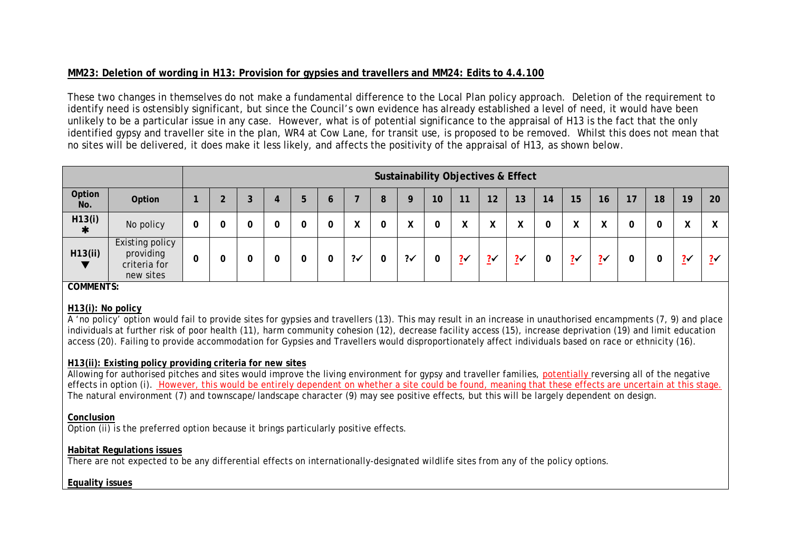# **MM23: Deletion of wording in H13: Provision for gypsies and travellers and MM24: Edits to 4.4.100**

These two changes in themselves do not make a fundamental difference to the Local Plan policy approach. Deletion of the requirement to identify need is ostensibly significant, but since the Council's own evidence has already established a level of need, it would have been unlikely to be a particular issue in any case. However, what is of potential significance to the appraisal of H13 is the fact that the only identified gypsy and traveller site in the plan, WR4 at Cow Lane, for transit use, is proposed to be removed. Whilst this does not mean that no sites will be delivered, it does make it less likely, and affects the positivity of the appraisal of H13, as shown below.

|                  |                                                           |  |   |   |   |               |    |    |                   | <b>Sustainability Objectives &amp; Effect</b> |           |    |                           |               |    |    |                     |    |
|------------------|-----------------------------------------------------------|--|---|---|---|---------------|----|----|-------------------|-----------------------------------------------|-----------|----|---------------------------|---------------|----|----|---------------------|----|
| Option<br>No.    | Option                                                    |  | 4 | b | o |               |    | 10 | 11                | 12                                            | 13        | 14 | 15 <sub>2</sub>           | 16            | 17 | 18 | 19 <sup>°</sup>     | 20 |
| H13(i)<br>$\ast$ | No policy                                                 |  |   |   |   |               | Λ  |    | Λ                 | ⋀                                             | $\lambda$ |    | $\mathbf{v}$<br>$\lambda$ | $\lambda$     | 0  |    | $\mathbf{v}$<br>Λ   |    |
| H13(ii)          | Existing policy<br>providing<br>criteria for<br>new sites |  |   |   | 0 | $2\checkmark$ | ?√ | 0  | $? \check{}$<br>- | $? \checkmark$                                | $? \cdot$ | 0  | $? \checkmark$            | $\frac{2}{3}$ |    |    | $? \checkmark$<br>- | 24 |

**COMMENTS:**

#### **H13(i): No policy**

A 'no policy' option would fail to provide sites for gypsies and travellers (13). This may result in an increase in unauthorised encampments (7, 9) and place individuals at further risk of poor health (11), harm community cohesion (12), decrease facility access (15), increase deprivation (19) and limit education access (20). Failing to provide accommodation for Gypsies and Travellers would disproportionately affect individuals based on race or ethnicity (16).

#### **H13(ii): Existing policy providing criteria for new sites**

Allowing for authorised pitches and sites would improve the living environment for gypsy and traveller families, potentially reversing all of the negative effects in option (i). However, this would be entirely dependent on whether a site could be found, meaning that these effects are uncertain at this stage. The natural environment (7) and townscape/landscape character (9) may see positive effects, but this will be largely dependent on design.

#### **Conclusion**

Option (ii) is the preferred option because it brings particularly positive effects.

# **Habitat Regulations issues**

There are not expected to be any differential effects on internationally-designated wildlife sites from any of the policy options.

#### **Equality issues**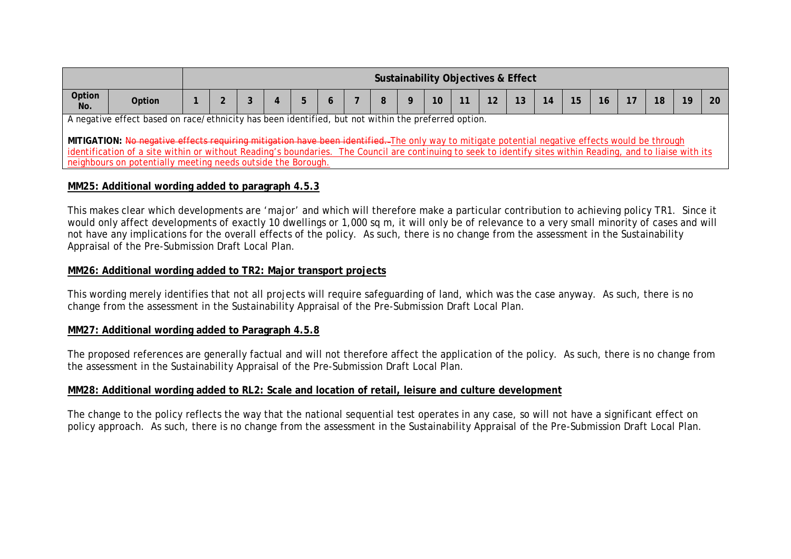|               |                                                                                                                                                                                                                                                                                                                                                                                                                        |  |  |  |  |  |  |  |  |  |  | <b>Sustainability Objectives &amp; Effect</b> |  |  |    |                 |  |  |  |
|---------------|------------------------------------------------------------------------------------------------------------------------------------------------------------------------------------------------------------------------------------------------------------------------------------------------------------------------------------------------------------------------------------------------------------------------|--|--|--|--|--|--|--|--|--|--|-----------------------------------------------|--|--|----|-----------------|--|--|--|
| Option<br>No. | Option                                                                                                                                                                                                                                                                                                                                                                                                                 |  |  |  |  |  |  |  |  |  |  |                                               |  |  | 14 | 15 <sup>1</sup> |  |  |  |
|               | A negative effect based on race/ethnicity has been identified, but not within the preferred option.<br>MITIGATION: No negative effects requiring mitigation have been identified. The only way to mitigate potential negative effects would be through<br>identification of a site within or without Reading's boundaries. The Council are continuing to seek to identify sites within Reading, and to liaise with its |  |  |  |  |  |  |  |  |  |  |                                               |  |  |    |                 |  |  |  |
|               | neighbours on potentially meeting needs outside the Borough.                                                                                                                                                                                                                                                                                                                                                           |  |  |  |  |  |  |  |  |  |  |                                               |  |  |    |                 |  |  |  |

## **MM25: Additional wording added to paragraph 4.5.3**

This makes clear which developments are 'major' and which will therefore make a particular contribution to achieving policy TR1. Since it would only affect developments of exactly 10 dwellings or 1,000 sq m, it will only be of relevance to a very small minority of cases and will not have any implications for the overall effects of the policy. As such, there is no change from the assessment in the Sustainability Appraisal of the Pre-Submission Draft Local Plan.

## **MM26: Additional wording added to TR2: Major transport projects**

This wording merely identifies that not all projects will require safeguarding of land, which was the case anyway. As such, there is no change from the assessment in the Sustainability Appraisal of the Pre-Submission Draft Local Plan.

#### **MM27: Additional wording added to Paragraph 4.5.8**

The proposed references are generally factual and will not therefore affect the application of the policy. As such, there is no change from the assessment in the Sustainability Appraisal of the Pre-Submission Draft Local Plan.

#### **MM28: Additional wording added to RL2: Scale and location of retail, leisure and culture development**

The change to the policy reflects the way that the national sequential test operates in any case, so will not have a significant effect on policy approach. As such, there is no change from the assessment in the Sustainability Appraisal of the Pre-Submission Draft Local Plan.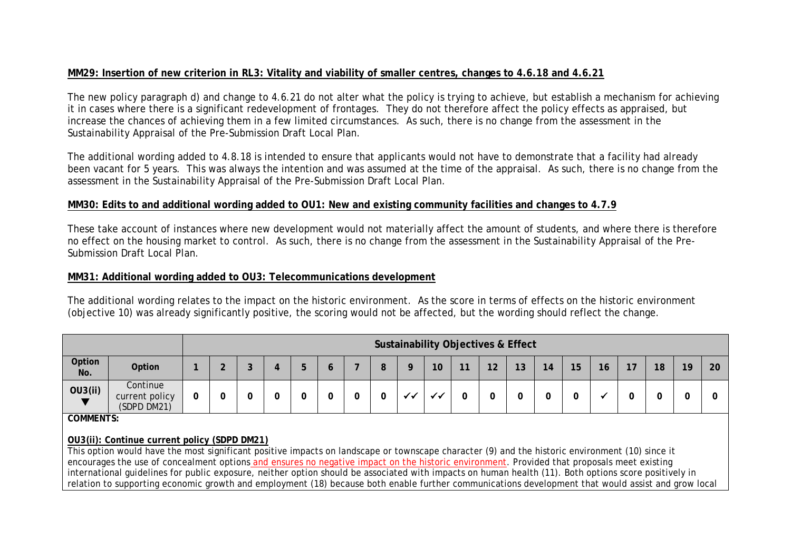# **MM29: Insertion of new criterion in RL3: Vitality and viability of smaller centres, changes to 4.6.18 and 4.6.21**

The new policy paragraph d) and change to 4.6.21 do not alter what the policy is trying to achieve, but establish a mechanism for achieving it in cases where there is a significant redevelopment of frontages. They do not therefore affect the policy effects as appraised, but increase the chances of achieving them in a few limited circumstances. As such, there is no change from the assessment in the Sustainability Appraisal of the Pre-Submission Draft Local Plan.

The additional wording added to 4.8.18 is intended to ensure that applicants would not have to demonstrate that a facility had already been vacant for 5 years. This was always the intention and was assumed at the time of the appraisal. As such, there is no change from the assessment in the Sustainability Appraisal of the Pre-Submission Draft Local Plan.

## **MM30: Edits to and additional wording added to OU1: New and existing community facilities and changes to 4.7.9**

These take account of instances where new development would not materially affect the amount of students, and where there is therefore no effect on the housing market to control. As such, there is no change from the assessment in the Sustainability Appraisal of the Pre-Submission Draft Local Plan.

#### **MM31: Additional wording added to OU3: Telecommunications development**

The additional wording relates to the impact on the historic environment. As the score in terms of effects on the historic environment (objective 10) was already significantly positive, the scoring would not be affected, but the wording should reflect the change.

|                  |                                           |  |   |   |   |        |      |    |    | <b>Sustainability Objectives &amp; Effect</b> |    |    |    |    |   |    |    |    |
|------------------|-------------------------------------------|--|---|---|---|--------|------|----|----|-----------------------------------------------|----|----|----|----|---|----|----|----|
| Option<br>No.    | Option                                    |  |   | G | O | О<br>o |      | 10 | 11 | 12                                            | 13 | 14 | 15 | 16 |   | 18 | 19 | 20 |
| OU3(ii)          | Continue<br>current policy<br>(SDPD DM21) |  | υ |   | υ |        | - 11 |    |    |                                               |    |    | C  |    | 0 |    | ີ  |    |
| <b>COMMENTS:</b> |                                           |  |   |   |   |        |      |    |    |                                               |    |    |    |    |   |    |    |    |

#### **OU3(ii): Continue current policy (SDPD DM21)**

This option would have the most significant positive impacts on landscape or townscape character (9) and the historic environment (10) since it encourages the use of concealment options and ensures no negative impact on the historic environment. Provided that proposals meet existing international guidelines for public exposure, neither option should be associated with impacts on human health (11). Both options score positively in relation to supporting economic growth and employment (18) because both enable further communications development that would assist and grow local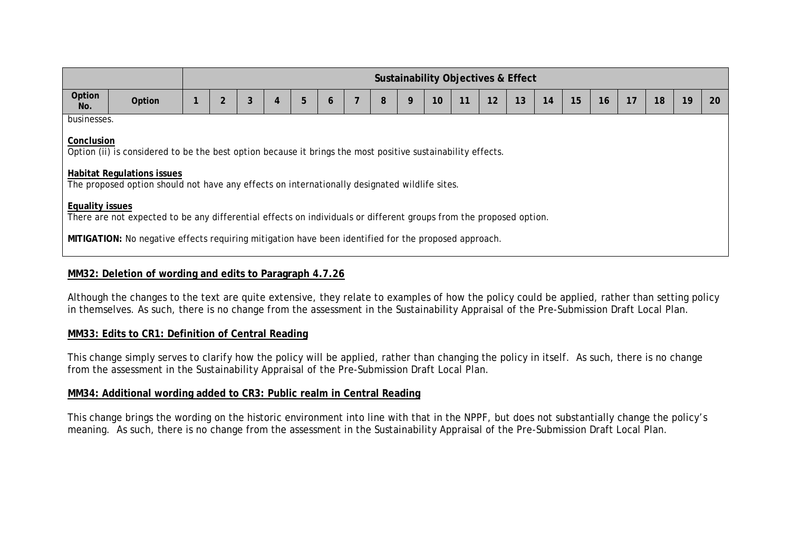|                        |                                                                                                                                                                                                                                                   |  |                |   |   |   |   |  |   |   |    | Sustainability Objectives & Effect |    |    |    |    |    |    |    |    |    |
|------------------------|---------------------------------------------------------------------------------------------------------------------------------------------------------------------------------------------------------------------------------------------------|--|----------------|---|---|---|---|--|---|---|----|------------------------------------|----|----|----|----|----|----|----|----|----|
| Option<br>No.          | Option                                                                                                                                                                                                                                            |  | $\overline{2}$ | 3 | 4 | 5 | 6 |  | 8 | 9 | 10 | 11                                 | 12 | 13 | 14 | 15 | 16 | 17 | 18 | 19 | 20 |
| businesses.            |                                                                                                                                                                                                                                                   |  |                |   |   |   |   |  |   |   |    |                                    |    |    |    |    |    |    |    |    |    |
|                        | Conclusion                                                                                                                                                                                                                                        |  |                |   |   |   |   |  |   |   |    |                                    |    |    |    |    |    |    |    |    |    |
|                        | Option (ii) is considered to be the best option because it brings the most positive sustainability effects.<br><b>Habitat Regulations issues</b><br>The proposed option should not have any effects on internationally designated wildlife sites. |  |                |   |   |   |   |  |   |   |    |                                    |    |    |    |    |    |    |    |    |    |
| <b>Equality issues</b> | There are not expected to be any differential effects on individuals or different groups from the proposed option.                                                                                                                                |  |                |   |   |   |   |  |   |   |    |                                    |    |    |    |    |    |    |    |    |    |
|                        | MITIGATION: No negative effects requiring mitigation have been identified for the proposed approach.                                                                                                                                              |  |                |   |   |   |   |  |   |   |    |                                    |    |    |    |    |    |    |    |    |    |

# **MM32: Deletion of wording and edits to Paragraph 4.7.26**

Although the changes to the text are quite extensive, they relate to examples of how the policy could be applied, rather than setting policy in themselves. As such, there is no change from the assessment in the Sustainability Appraisal of the Pre-Submission Draft Local Plan.

#### **MM33: Edits to CR1: Definition of Central Reading**

This change simply serves to clarify how the policy will be applied, rather than changing the policy in itself. As such, there is no change from the assessment in the Sustainability Appraisal of the Pre-Submission Draft Local Plan.

# **MM34: Additional wording added to CR3: Public realm in Central Reading**

This change brings the wording on the historic environment into line with that in the NPPF, but does not substantially change the policy's meaning. As such, there is no change from the assessment in the Sustainability Appraisal of the Pre-Submission Draft Local Plan.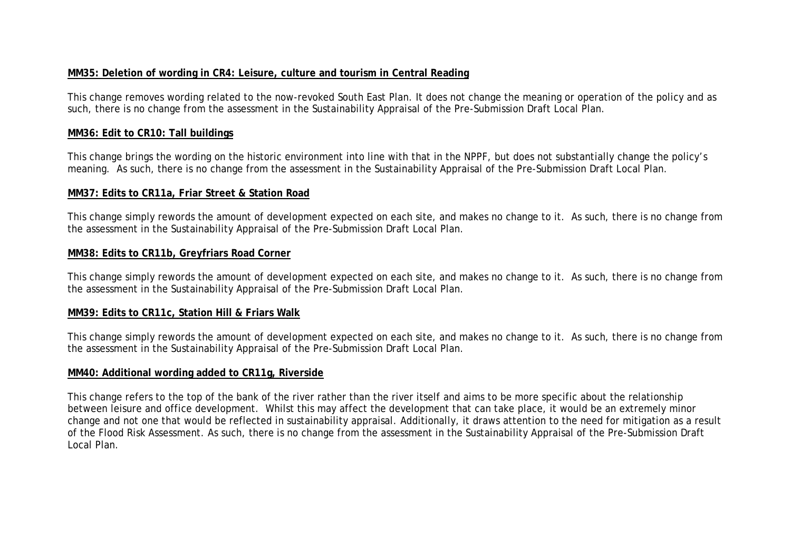# **MM35: Deletion of wording in CR4: Leisure, culture and tourism in Central Reading**

This change removes wording related to the now-revoked South East Plan. It does not change the meaning or operation of the policy and as such, there is no change from the assessment in the Sustainability Appraisal of the Pre-Submission Draft Local Plan.

#### **MM36: Edit to CR10: Tall buildings**

This change brings the wording on the historic environment into line with that in the NPPF, but does not substantially change the policy's meaning. As such, there is no change from the assessment in the Sustainability Appraisal of the Pre-Submission Draft Local Plan.

#### **MM37: Edits to CR11a, Friar Street & Station Road**

This change simply rewords the amount of development expected on each site, and makes no change to it. As such, there is no change from the assessment in the Sustainability Appraisal of the Pre-Submission Draft Local Plan.

#### **MM38: Edits to CR11b, Greyfriars Road Corner**

This change simply rewords the amount of development expected on each site, and makes no change to it. As such, there is no change from the assessment in the Sustainability Appraisal of the Pre-Submission Draft Local Plan.

#### **MM39: Edits to CR11c, Station Hill & Friars Walk**

This change simply rewords the amount of development expected on each site, and makes no change to it. As such, there is no change from the assessment in the Sustainability Appraisal of the Pre-Submission Draft Local Plan.

#### **MM40: Additional wording added to CR11g, Riverside**

This change refers to the top of the bank of the river rather than the river itself and aims to be more specific about the relationship between leisure and office development. Whilst this may affect the development that can take place, it would be an extremely minor change and not one that would be reflected in sustainability appraisal. Additionally, it draws attention to the need for mitigation as a result of the Flood Risk Assessment. As such, there is no change from the assessment in the Sustainability Appraisal of the Pre-Submission Draft Local Plan.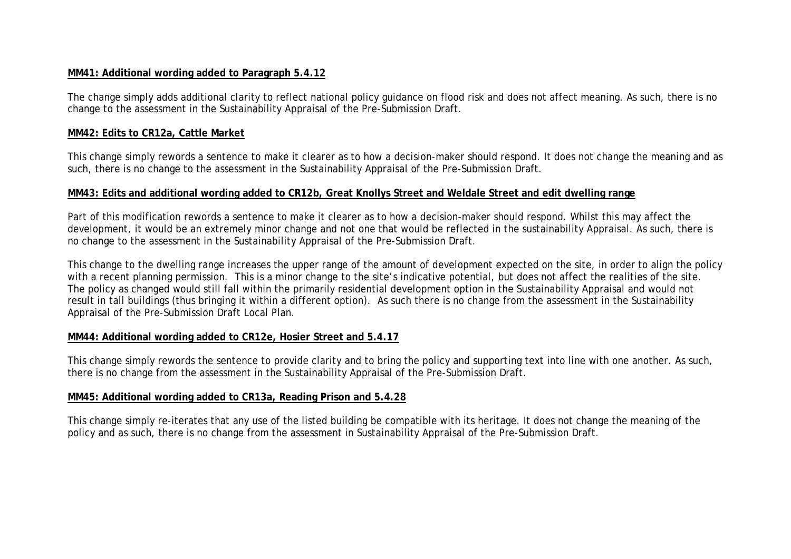## **MM41: Additional wording added to Paragraph 5.4.12**

The change simply adds additional clarity to reflect national policy guidance on flood risk and does not affect meaning. As such, there is no change to the assessment in the Sustainability Appraisal of the Pre-Submission Draft.

#### **MM42: Edits to CR12a, Cattle Market**

This change simply rewords a sentence to make it clearer as to how a decision-maker should respond. It does not change the meaning and as such, there is no change to the assessment in the Sustainability Appraisal of the Pre-Submission Draft.

#### **MM43: Edits and additional wording added to CR12b, Great Knollys Street and Weldale Street and edit dwelling range**

Part of this modification rewords a sentence to make it clearer as to how a decision-maker should respond. Whilst this may affect the development, it would be an extremely minor change and not one that would be reflected in the sustainability Appraisal. As such, there is no change to the assessment in the Sustainability Appraisal of the Pre-Submission Draft.

This change to the dwelling range increases the upper range of the amount of development expected on the site, in order to align the policy with a recent planning permission. This is a minor change to the site's indicative potential, but does not affect the realities of the site. The policy as changed would still fall within the primarily residential development option in the Sustainability Appraisal and would not result in tall buildings (thus bringing it within a different option). As such there is no change from the assessment in the Sustainability Appraisal of the Pre-Submission Draft Local Plan.

#### **MM44: Additional wording added to CR12e, Hosier Street and 5.4.17**

This change simply rewords the sentence to provide clarity and to bring the policy and supporting text into line with one another. As such, there is no change from the assessment in the Sustainability Appraisal of the Pre-Submission Draft.

#### **MM45: Additional wording added to CR13a, Reading Prison and 5.4.28**

This change simply re-iterates that any use of the listed building be compatible with its heritage. It does not change the meaning of the policy and as such, there is no change from the assessment in Sustainability Appraisal of the Pre-Submission Draft.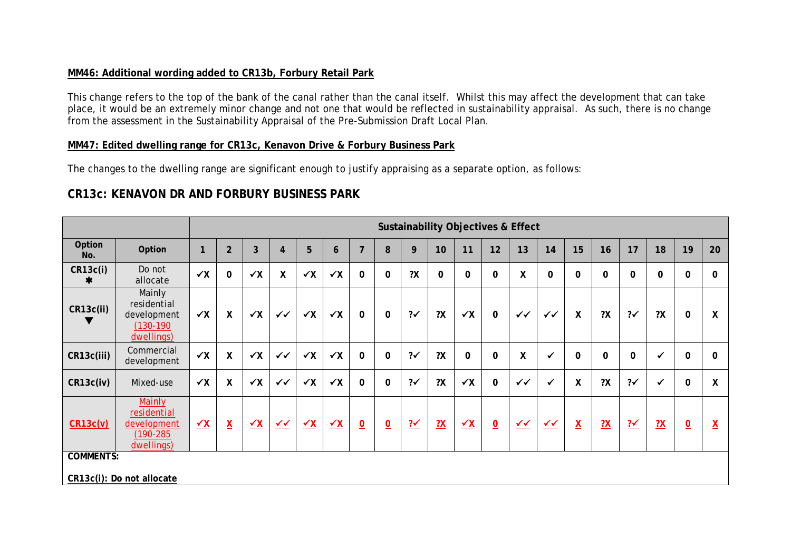# **MM46: Additional wording added to CR13b, Forbury Retail Park**

This change refers to the top of the bank of the canal rather than the canal itself. Whilst this may affect the development that can take place, it would be an extremely minor change and not one that would be reflected in sustainability appraisal. As such, there is no change from the assessment in the Sustainability Appraisal of the Pre-Submission Draft Local Plan.

### **MM47: Edited dwelling range for CR13c, Kenavon Drive & Forbury Business Park**

The changes to the dwelling range are significant enough to justify appraising as a separate option, as follows:

# **CR13c: KENAVON DR AND FORBURY BUSINESS PARK**

|                  |                                                                            |              |                          |              |                        |                      |              |                         |                          |                |                |                      |                         | <b>Sustainability Objectives &amp; Effect</b> |              |                          |                |               |                |                          |                          |
|------------------|----------------------------------------------------------------------------|--------------|--------------------------|--------------|------------------------|----------------------|--------------|-------------------------|--------------------------|----------------|----------------|----------------------|-------------------------|-----------------------------------------------|--------------|--------------------------|----------------|---------------|----------------|--------------------------|--------------------------|
| Option<br>No.    | Option                                                                     | n            | $\overline{2}$           | 3            | $\overline{4}$         | 5                    | 6            | $\overline{7}$          | 8                        | 9              | 10             | 11                   | 12                      | 13                                            | 14           | 15                       | 16             | 17            | 18             | 19                       | 20                       |
| CR13c(i)<br>∗    | Do not<br>allocate                                                         | $\checkmark$ | $\mathbf{0}$             | $\checkmark$ | X                      | $\checkmark$         | $\checkmark$ | $\mathbf 0$             | $\mathbf 0$              | 2X             | $\mathbf 0$    | $\mathbf 0$          | $\pmb{0}$               | $\boldsymbol{X}$                              | 0            | $\mathbf 0$              | $\mathbf{0}$   | $\mathbf 0$   | $\mathbf 0$    | 0                        | 0                        |
| CR13c(ii)        | Mainly<br>residential<br>development<br>(130-190<br>dwellings)             | $\checkmark$ | X                        | $\checkmark$ | $\checkmark\checkmark$ | $\checkmark$         | $\checkmark$ | $\mathbf 0$             | $\mathbf 0$              | $? \checkmark$ | 2X             | $\checkmark$         | $\mathbf 0$             | $\checkmark$                                  | $\checkmark$ | $\boldsymbol{X}$         | 2X             | $2\checkmark$ | 2X             | 0                        | X                        |
| CR13c(iii)       | Commercial<br>development                                                  | $\checkmark$ | X                        | $\checkmark$ | $\checkmark\checkmark$ | $\checkmark$         | $\checkmark$ | $\mathbf 0$             | $\mathbf 0$              | $2\checkmark$  | 2X             | $\mathbf 0$          | $\mathbf 0$             | $\mathsf{X}$                                  | $\checkmark$ | $\Omega$                 | $\mathbf 0$    | $\mathbf 0$   | $\checkmark$   | $\mathbf 0$              | $\mathbf 0$              |
| CR13c(iv)        | Mixed-use                                                                  | $\checkmark$ | X                        | $\checkmark$ | $\checkmark$           | $\checkmark$         | $\checkmark$ | $\Omega$                | 0                        | $2\checkmark$  | ?X             | $\checkmark$         | $\mathbf 0$             | $\checkmark$                                  | $\checkmark$ | Χ                        | 2X             | $2\checkmark$ |                | 0                        | $\pmb{\mathsf{X}}$       |
| CR13c(v)         | <b>Mainly</b><br>residential<br>development<br>$(190 - 285)$<br>dwellings) | $\sqrt{X}$   | $\underline{\mathsf{X}}$ | $\sqrt{X}$   | $\sqrt{2}$             | $\frac{\sqrt{X}}{X}$ | $\sqrt{X}$   | $\overline{\mathbf{0}}$ | $\underline{\mathbf{0}}$ | $\frac{?'}{?}$ | $\frac{2X}{2}$ | $\frac{\sqrt{X}}{X}$ | $\overline{\mathbf{0}}$ | $\sqrt{4}$                                    | $\sqrt{2}$   | $\underline{\mathsf{X}}$ | $\frac{2X}{2}$ | $\frac{?}{'}$ | $\frac{2X}{2}$ | $\underline{\mathsf{O}}$ | $\underline{\mathsf{X}}$ |
| <b>COMMENTS:</b> |                                                                            |              |                          |              |                        |                      |              |                         |                          |                |                |                      |                         |                                               |              |                          |                |               |                |                          |                          |
|                  | CR13c(i): Do not allocate                                                  |              |                          |              |                        |                      |              |                         |                          |                |                |                      |                         |                                               |              |                          |                |               |                |                          |                          |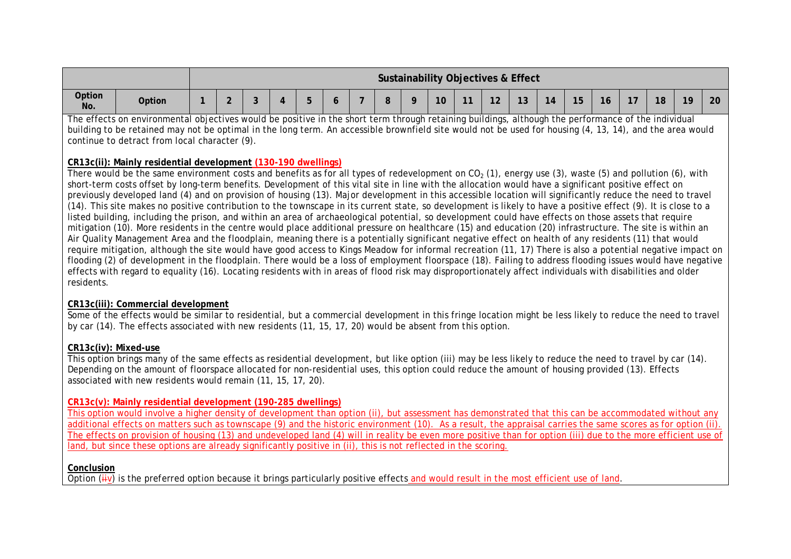|               |        |  |  |  |         |    | Sustainability Objectives & Effect |                              |                    |    |                |    |    |    |
|---------------|--------|--|--|--|---------|----|------------------------------------|------------------------------|--------------------|----|----------------|----|----|----|
| Option<br>No. | Option |  |  |  | $\circ$ | 10 | $\overline{A}$                     | $\mathbf{A}$<br>$\mathsf{L}$ | $\mathbf{A}$<br>ื้ | 15 | $\overline{1}$ | 18 | 19 | 20 |

The effects on environmental objectives would be positive in the short term through retaining buildings, although the performance of the individual building to be retained may not be optimal in the long term. An accessible brownfield site would not be used for housing (4, 13, 14), and the area would continue to detract from local character (9).

#### **CR13c(ii): Mainly residential development (130-190 dwellings)**

There would be the same environment costs and benefits as for all types of redevelopment on  $CO<sub>2</sub>$  (1), energy use (3), waste (5) and pollution (6), with short-term costs offset by long-term benefits. Development of this vital site in line with the allocation would have a significant positive effect on previously developed land (4) and on provision of housing (13). Major development in this accessible location will significantly reduce the need to travel (14). This site makes no positive contribution to the townscape in its current state, so development is likely to have a positive effect (9). It is close to a listed building, including the prison, and within an area of archaeological potential, so development could have effects on those assets that require mitigation (10). More residents in the centre would place additional pressure on healthcare (15) and education (20) infrastructure. The site is within an Air Quality Management Area and the floodplain, meaning there is a potentially significant negative effect on health of any residents (11) that would require mitigation, although the site would have good access to Kings Meadow for informal recreation (11, 17) There is also a potential negative impact on flooding (2) of development in the floodplain. There would be a loss of employment floorspace (18). Failing to address flooding issues would have negative effects with regard to equality (16). Locating residents with in areas of flood risk may disproportionately affect individuals with disabilities and older residents.

#### **CR13c(iii): Commercial development**

Some of the effects would be similar to residential, but a commercial development in this fringe location might be less likely to reduce the need to travel by car (14). The effects associated with new residents (11, 15, 17, 20) would be absent from this option.

#### **CR13c(iv): Mixed-use**

This option brings many of the same effects as residential development, but like option (iii) may be less likely to reduce the need to travel by car (14). Depending on the amount of floorspace allocated for non-residential uses, this option could reduce the amount of housing provided (13). Effects associated with new residents would remain (11, 15, 17, 20).

#### **CR13c(v): Mainly residential development (190-285 dwellings)**

This option would involve a higher density of development than option (ii), but assessment has demonstrated that this can be accommodated without any additional effects on matters such as townscape (9) and the historic environment (10). As a result, the appraisal carries the same scores as for option (ii). The effects on provision of housing (13) and undeveloped land (4) will in reality be even more positive than for option (iii) due to the more efficient use of land, but since these options are already significantly positive in (ii), this is not reflected in the scoring.

#### **Conclusion**

Option  $(iiv)$  is the preferred option because it brings particularly positive effects and would result in the most efficient use of land.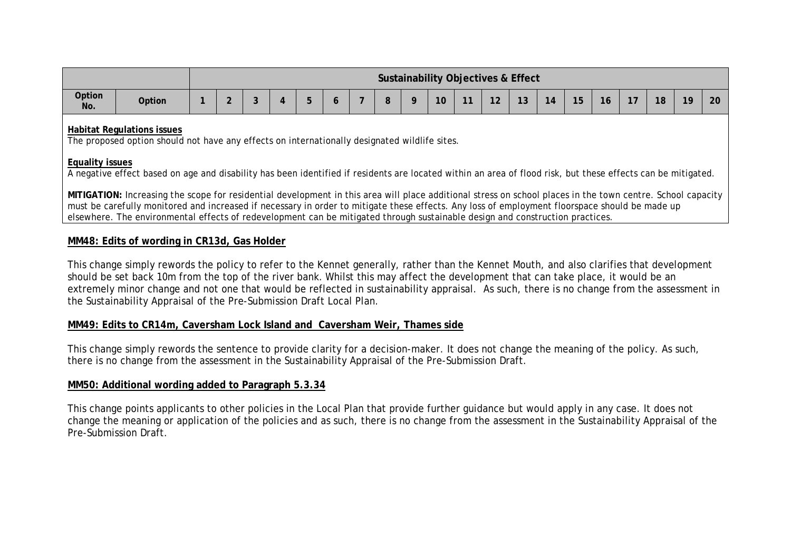|               |        |  |  |  |  |                 |                | Sustainability Objectives & Effect |               |        |               |               |    |    |    |
|---------------|--------|--|--|--|--|-----------------|----------------|------------------------------------|---------------|--------|---------------|---------------|----|----|----|
| Option<br>No. | Option |  |  |  |  | 10 <sup>°</sup> | $\overline{A}$ | $\sim$                             | $\sim$<br>. ט | $\sim$ | $\sim$ $\sim$ | $\rightarrow$ | 18 | 19 | 20 |

#### **Habitat Regulations issues**

The proposed option should not have any effects on internationally designated wildlife sites.

#### **Equality issues**

A negative effect based on age and disability has been identified if residents are located within an area of flood risk, but these effects can be mitigated.

**MITIGATION:** Increasing the scope for residential development in this area will place additional stress on school places in the town centre. School capacity must be carefully monitored and increased if necessary in order to mitigate these effects. Any loss of employment floorspace should be made up elsewhere. The environmental effects of redevelopment can be mitigated through sustainable design and construction practices.

# **MM48: Edits of wording in CR13d, Gas Holder**

This change simply rewords the policy to refer to the Kennet generally, rather than the Kennet Mouth, and also clarifies that development should be set back 10m from the top of the river bank. Whilst this may affect the development that can take place, it would be an extremely minor change and not one that would be reflected in sustainability appraisal. As such, there is no change from the assessment in the Sustainability Appraisal of the Pre-Submission Draft Local Plan.

# **MM49: Edits to CR14m, Caversham Lock Island and Caversham Weir, Thames side**

This change simply rewords the sentence to provide clarity for a decision-maker. It does not change the meaning of the policy. As such, there is no change from the assessment in the Sustainability Appraisal of the Pre-Submission Draft.

# **MM50: Additional wording added to Paragraph 5.3.34**

This change points applicants to other policies in the Local Plan that provide further guidance but would apply in any case. It does not change the meaning or application of the policies and as such, there is no change from the assessment in the Sustainability Appraisal of the Pre-Submission Draft.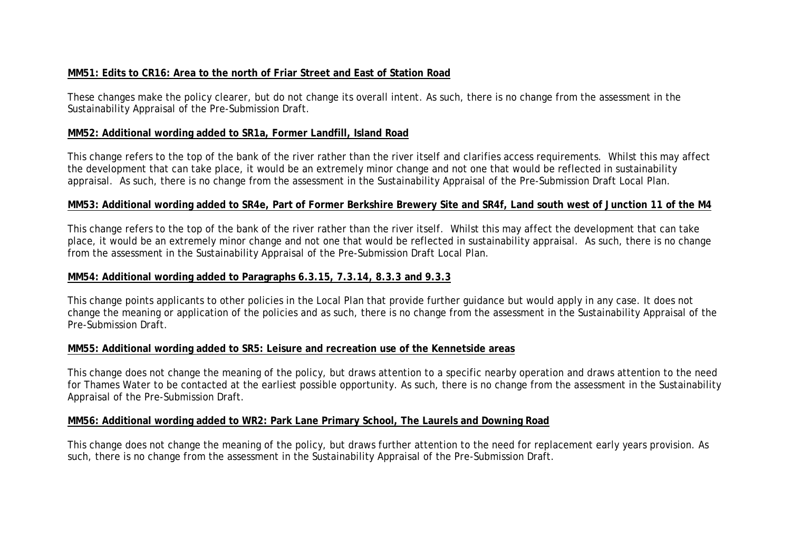# **MM51: Edits to CR16: Area to the north of Friar Street and East of Station Road**

These changes make the policy clearer, but do not change its overall intent. As such, there is no change from the assessment in the Sustainability Appraisal of the Pre-Submission Draft.

## **MM52: Additional wording added to SR1a, Former Landfill, Island Road**

This change refers to the top of the bank of the river rather than the river itself and clarifies access requirements. Whilst this may affect the development that can take place, it would be an extremely minor change and not one that would be reflected in sustainability appraisal. As such, there is no change from the assessment in the Sustainability Appraisal of the Pre-Submission Draft Local Plan.

## **MM53: Additional wording added to SR4e, Part of Former Berkshire Brewery Site and SR4f, Land south west of Junction 11 of the M4**

This change refers to the top of the bank of the river rather than the river itself. Whilst this may affect the development that can take place, it would be an extremely minor change and not one that would be reflected in sustainability appraisal. As such, there is no change from the assessment in the Sustainability Appraisal of the Pre-Submission Draft Local Plan.

#### **MM54: Additional wording added to Paragraphs 6.3.15, 7.3.14, 8.3.3 and 9.3.3**

This change points applicants to other policies in the Local Plan that provide further guidance but would apply in any case. It does not change the meaning or application of the policies and as such, there is no change from the assessment in the Sustainability Appraisal of the Pre-Submission Draft.

#### **MM55: Additional wording added to SR5: Leisure and recreation use of the Kennetside areas**

This change does not change the meaning of the policy, but draws attention to a specific nearby operation and draws attention to the need for Thames Water to be contacted at the earliest possible opportunity. As such, there is no change from the assessment in the Sustainability Appraisal of the Pre-Submission Draft.

# **MM56: Additional wording added to WR2: Park Lane Primary School, The Laurels and Downing Road**

This change does not change the meaning of the policy, but draws further attention to the need for replacement early years provision. As such, there is no change from the assessment in the Sustainability Appraisal of the Pre-Submission Draft.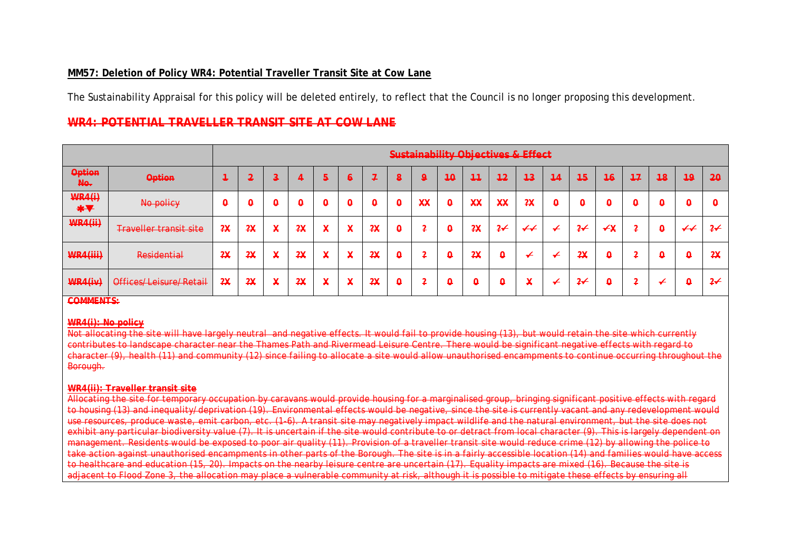# **MM57: Deletion of Policy WR4: Potential Traveller Transit Site at Cow Lane**

The Sustainability Appraisal for this policy will be deleted entirely, to reflect that the Council is no longer proposing this development.

# **WR4: POTENTIAL TRAVELLER TRANSIT SITE AT COW LANE**

|                                              |                               |                   |     |        |                           |                                          |                           |                                |                           |                 |                           |                                       |                           | <b>Sustainability Objectives &amp; Effect</b> |                           |               |                 |                           |                           |                            |                   |
|----------------------------------------------|-------------------------------|-------------------|-----|--------|---------------------------|------------------------------------------|---------------------------|--------------------------------|---------------------------|-----------------|---------------------------|---------------------------------------|---------------------------|-----------------------------------------------|---------------------------|---------------|-----------------|---------------------------|---------------------------|----------------------------|-------------------|
| <b>Option</b><br>No.                         | <b>Option</b>                 | a se              | . . | الم ب  |                           | 5                                        | ⊖                         |                                | .                         | $\Omega$        | 40                        | $+1$                                  | 12<br>---                 | 4 <sup>3</sup>                                | 11<br>--                  | 45            | $\overline{46}$ | 17<br>---                 | 48                        | 49                         | $20 -$            |
| <b>WR4(i)</b><br>$\ast$ $\blacktriangledown$ | No policy                     | $\mathbf{\Theta}$ | ÷   | ÷      | $\boldsymbol{\mathsf{o}}$ | $\boldsymbol{\mathsf{o}}$                | $\boldsymbol{\mathsf{o}}$ | U                              | ∩<br>$\sim$               | $\overline{xx}$ | $\boldsymbol{\mathsf{o}}$ | <b>YY</b><br>$\overline{\phantom{a}}$ | $\overline{\mathbf{xx}}$  | 2X                                            | $\boldsymbol{\mathsf{o}}$ | ٥             | υ               | $\boldsymbol{\mathsf{o}}$ | $\boldsymbol{\mathsf{o}}$ | $\boldsymbol{\theta}$      | $\mathbf{\Theta}$ |
| <b>WR4(ii)</b>                               | <b>Traveller transit site</b> | 2x                | 2X  | X      | 2x                        | $\checkmark$<br>$\overline{\phantom{a}}$ | ¥                         | 2Y<br>$\overline{\phantom{a}}$ | $\Omega$<br>÷             | $\sqrt{2}$      | $\boldsymbol{\mathsf{o}}$ | 2X                                    | $2\leftarrow$             | $\overline{\mathbf{+}}$                       | ✔                         | $2\leftarrow$ | ⊀¥              | $\overline{a}$            | $\boldsymbol{\mathsf{Q}}$ | $\boldsymbol{\mathcal{H}}$ | $2\star$          |
| WR4(iii)                                     | <b>Residential</b>            | 2X                | 2X  | X      | 2x                        | $\checkmark$<br>$\overline{\phantom{a}}$ | ¥                         | 2x                             | $\boldsymbol{\mathsf{o}}$ | $\sqrt{2}$      | $\boldsymbol{\mathsf{o}}$ | 2x                                    | $\boldsymbol{\mathsf{o}}$ | ≁                                             | ≁                         | 2X            | ٥               | $\overline{a}$            | $\boldsymbol{\mathsf{o}}$ | $\boldsymbol{\mathsf{Q}}$  | 2x                |
| WR4(iv)                                      | Offices/Leisure/Retail        | 2X                | 2X  | v<br>₳ | 2X                        | $\mathbf{v}$<br>≁                        | X                         | 2X                             | Q                         | ◠               | ٥                         | $\Omega$                              | n<br>ь.                   | $\mathbf{v}$<br>₳                             | ✔                         | $2\star$      | ۳               | $\sqrt{2}$                | $\leftarrow$              | $\boldsymbol{\mathsf Q}$   | $2\leftarrow$     |

**COMMENTS:**

#### **WR4(i): No policy**

Not allocating the site will have largely neutral and negative effects. It would fail to provide housing (13), but would retain the site which currently contributes to landscape character near the Thames Path and Rivermead Leisure Centre. There would be significant negative effects with regard to character (9), health (11) and community (12) since failing to allocate a site would allow unauthorised encampments to continue occurring throughout the Borough.

#### **WR4(ii): Traveller transit site**

aravans would provide housing for a marginalise to housing (13) and inequality/deprivation (19). Environmental effects would be negative, since the site is currently vacant and any redevelopmen<br>use resources, produce waste, emit carbon, etc. (1-6). A transit site may ne use resources, produce waste, emit carbon, etc. (1-6). A transit site may negatively impact wildlife and the natural environment, but the site does not exhibit any particular biodiversity value (7). It is uncertain if the site would contribute to or detract from local character (9). This is largely dependent on management. Residents would be exposed to poor air quality (11). Provision of a traveller transit site would reduce crime (12) by allowing the police to take action against unauthorised encampments in other parts of the Borough. The site is in a fairly accessible location (14) and families would have access to healthcare and education (15, 20). Impacts on the nearby leisure centre are uncertain (17). Equality impacts are mixed (16). Because the site is adjacent to Flood Zone 3, the allocation may place a vulnerable community at risk, although it is possible to mitigate these effects by ensuring all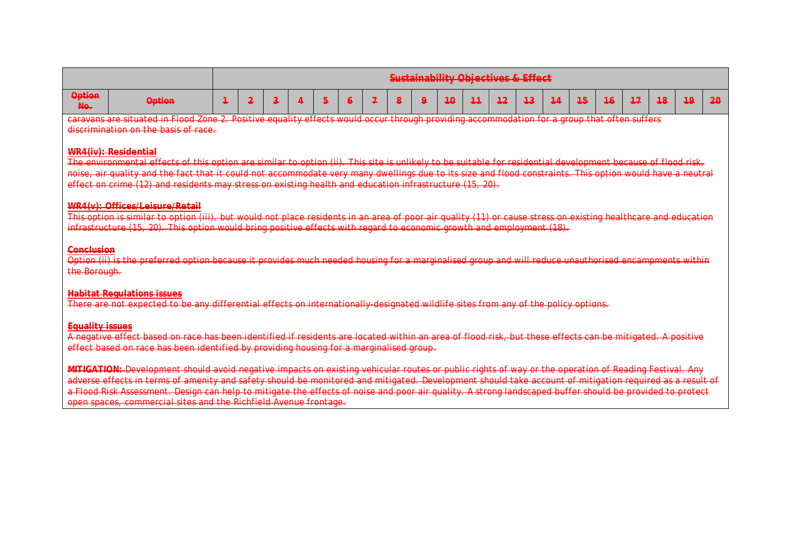|                        |                                                                                                                                                                                                                                                                                                                                                                                                                                                                                                                                                 |   |   |                         |  |    |   |   |  |   |           |    |    | <b>Sustainability Objectives &amp; Effect</b> |    |    |    |      |    |    |    |
|------------------------|-------------------------------------------------------------------------------------------------------------------------------------------------------------------------------------------------------------------------------------------------------------------------------------------------------------------------------------------------------------------------------------------------------------------------------------------------------------------------------------------------------------------------------------------------|---|---|-------------------------|--|----|---|---|--|---|-----------|----|----|-----------------------------------------------|----|----|----|------|----|----|----|
| <b>Option</b><br>No.   | <b>Option</b>                                                                                                                                                                                                                                                                                                                                                                                                                                                                                                                                   | 1 | 2 | $\overline{\mathbf{a}}$ |  | 5. | 6 | ı |  | a | <u>1Ω</u> | 11 | 12 | 4 <sup>3</sup>                                | 14 | 45 | 16 | $+7$ | 48 | 49 | 20 |
|                        | caravans are situated in Flood Zone 2. Positive equality effects would occur through providing accommodation for a group that often suffers<br>discrimination on the basis of race.                                                                                                                                                                                                                                                                                                                                                             |   |   |                         |  |    |   |   |  |   |           |    |    |                                               |    |    |    |      |    |    |    |
|                        | <b>MRA(iv)</b> : Residential                                                                                                                                                                                                                                                                                                                                                                                                                                                                                                                    |   |   |                         |  |    |   |   |  |   |           |    |    |                                               |    |    |    |      |    |    |    |
|                        | The environmental effects of this option are similar to option (ii). This site is unlikely to be suitable for residential development because of flood risk,<br>noise, air quality and the fact that it could not accommodate very many dwellings due to its size and flood constraints. This option would have a neutral                                                                                                                                                                                                                       |   |   |                         |  |    |   |   |  |   |           |    |    |                                               |    |    |    |      |    |    |    |
|                        | effect on crime (12) and residents may stress on existing health and education infrastructure (15, 20).                                                                                                                                                                                                                                                                                                                                                                                                                                         |   |   |                         |  |    |   |   |  |   |           |    |    |                                               |    |    |    |      |    |    |    |
|                        | WR4(v): Offices/Leisure/Retail<br>This option is similar to option (iii), but would not place residents in an area of poor air quality (11) or cause stress on existing healthcare and education<br>infrastructure (15, 20). This option would bring positive effects with regard to economic growth and employment (18).                                                                                                                                                                                                                       |   |   |                         |  |    |   |   |  |   |           |    |    |                                               |    |    |    |      |    |    |    |
|                        | <b>Conclusion</b><br>Option (ii) is the preferred option because it provides much needed housing for a marginalised group and will reduce unauthorised encampments within<br>the Borough.                                                                                                                                                                                                                                                                                                                                                       |   |   |                         |  |    |   |   |  |   |           |    |    |                                               |    |    |    |      |    |    |    |
|                        | <b>Habitat Regulations issues</b><br>There are not expected to be any differential effects on internationally designated wildlife sites from any of the policy options.                                                                                                                                                                                                                                                                                                                                                                         |   |   |                         |  |    |   |   |  |   |           |    |    |                                               |    |    |    |      |    |    |    |
| <b>Equality issues</b> | A negative effect based on race has been identified if residents are located within an area of flood risk, but these effects can be mitigated. A positive<br>effect based on race has been identified by providing housing for a marginalised group.                                                                                                                                                                                                                                                                                            |   |   |                         |  |    |   |   |  |   |           |    |    |                                               |    |    |    |      |    |    |    |
|                        | MITIGATION: Development should avoid negative impacts on existing vehicular routes or public rights of way or the operation of Reading Festival. Any<br>adverse effects in terms of amenity and safety should be monitored and mitigated. Development should take account of mitigation required as a result of<br>a Flood Risk Assessment. Design can help to mitigate the effects of noise and poor air quality. A strong landscaped buffer should be provided to protect<br>open spaces, commercial sites and the Richfield Avenue frontage. |   |   |                         |  |    |   |   |  |   |           |    |    |                                               |    |    |    |      |    |    |    |
|                        |                                                                                                                                                                                                                                                                                                                                                                                                                                                                                                                                                 |   |   |                         |  |    |   |   |  |   |           |    |    |                                               |    |    |    |      |    |    |    |
|                        |                                                                                                                                                                                                                                                                                                                                                                                                                                                                                                                                                 |   |   |                         |  |    |   |   |  |   |           |    |    |                                               |    |    |    |      |    |    |    |
|                        |                                                                                                                                                                                                                                                                                                                                                                                                                                                                                                                                                 |   |   |                         |  |    |   |   |  |   |           |    |    |                                               |    |    |    |      |    |    |    |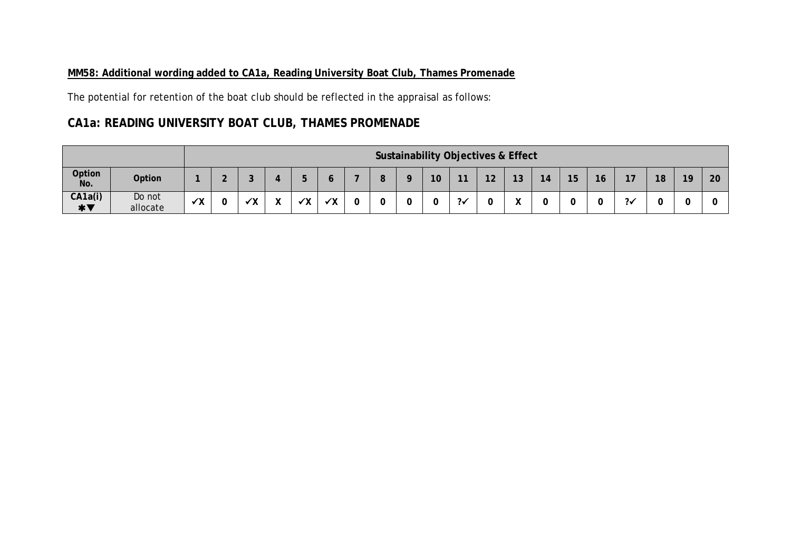# **MM58: Additional wording added to CA1a, Reading University Boat Club, Thames Promenade**

The potential for retention of the boat club should be reflected in the appraisal as follows:

# **CA1a: READING UNIVERSITY BOAT CLUB, THAMES PROMENADE**

|                                     |                    |              |   |            |                           |            |            |        |                 | <b>Sustainability Objectives &amp; Effect</b> |    |                   |    |    |    |               |    |    |    |
|-------------------------------------|--------------------|--------------|---|------------|---------------------------|------------|------------|--------|-----------------|-----------------------------------------------|----|-------------------|----|----|----|---------------|----|----|----|
| Option<br>No.                       | Option             |              |   |            |                           | ь          |            | О<br>О | 10 <sup>°</sup> | 11                                            | 12 | 13                | 14 | 15 | 16 | 17            | 18 | 19 | 20 |
| CA1a(i)<br>$*$ $\blacktriangledown$ | Do not<br>allocate | $\checkmark$ | ັ | ⁄ \ /<br>Λ | $\mathbf{v}$<br>$\lambda$ | $\sqrt{v}$ | $\sqrt{v}$ | ັ      | ັ               | クン                                            | ◡  | $\mathbf{v}$<br>" |    | u  | U  | $2\checkmark$ | ິ  |    |    |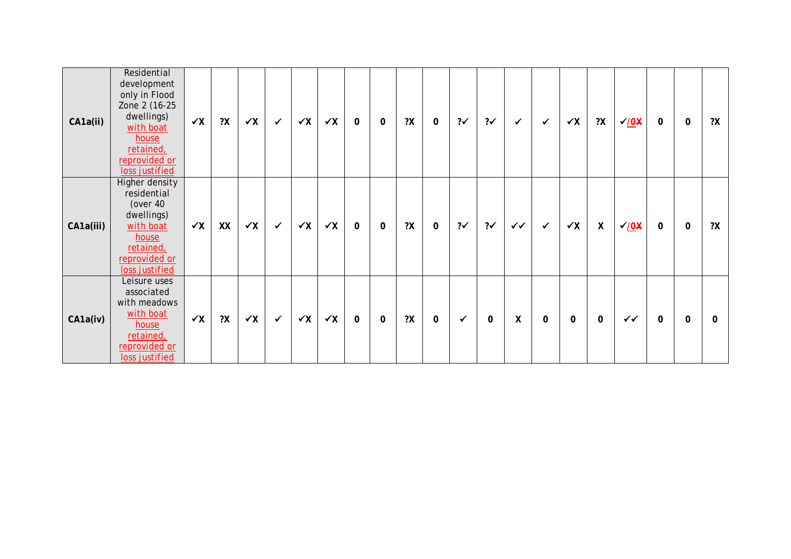| CA1a(ii)  | Residential<br>development<br>only in Flood<br>Zone 2 (16-25<br>dwellings)<br>with boat<br>house<br>retained,<br>reprovided or<br>loss justified | $\checkmark$ | 2X | $\checkmark$ | $\checkmark$ | $\checkmark$ | $\checkmark$ X | 0            | $\mathbf 0$ | 2X | $\mathbf 0$ | $? \checkmark$ | $2\checkmark$ | ✓            | $\checkmark$ | $\checkmark$ | 2X                 | $\sqrt{0}$   | 0 | $\mathbf 0$ | 2X |
|-----------|--------------------------------------------------------------------------------------------------------------------------------------------------|--------------|----|--------------|--------------|--------------|----------------|--------------|-------------|----|-------------|----------------|---------------|--------------|--------------|--------------|--------------------|--------------|---|-------------|----|
| CA1a(iii) | Higher density<br>residential<br>(over 40<br>dwellings)<br>with boat<br>house<br>retained,<br>reprovided or<br>loss justified                    | $\checkmark$ | XX | $\checkmark$ | $\checkmark$ | $\checkmark$ | $\checkmark$ X | $\mathbf 0$  | 0           | 2X | 0           | $2\checkmark$  | $2\checkmark$ | $\checkmark$ | $\checkmark$ | $\checkmark$ | $\pmb{\mathsf{X}}$ | $\sqrt{0}$   | 0 | $\mathbf 0$ | 2X |
| CA1a(iv)  | Leisure uses<br>associated<br>with meadows<br>with boat<br>house<br>retained,<br>reprovided or<br>loss justified                                 | $\checkmark$ | 2X | $\checkmark$ | $\checkmark$ | $\checkmark$ | $\checkmark$ X | $\mathbf{0}$ | 0           | 2X | $\mathbf 0$ | ✓              | 0             | χ            | $\mathbf 0$  | $\mathbf 0$  | 0                  | $\checkmark$ | 0 | $\mathbf 0$ | 0  |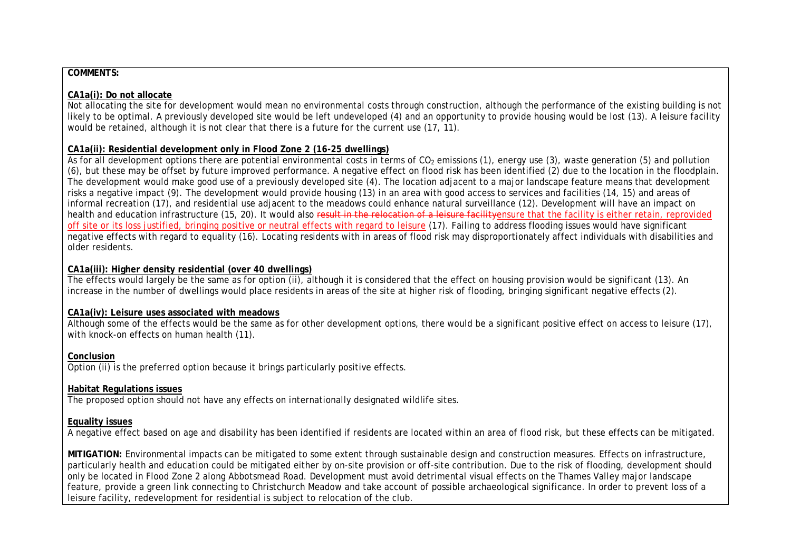#### **COMMENTS:**

#### **CA1a(i): Do not allocate**

Not allocating the site for development would mean no environmental costs through construction, although the performance of the existing building is not likely to be optimal. A previously developed site would be left undeveloped (4) and an opportunity to provide housing would be lost (13). A leisure facility would be retained, although it is not clear that there is a future for the current use (17, 11).

#### **CA1a(ii): Residential development only in Flood Zone 2 (16-25 dwellings)**

As for all development options there are potential environmental costs in terms of CO<sub>2</sub> emissions (1), energy use (3), waste generation (5) and pollution (6), but these may be offset by future improved performance. A negative effect on flood risk has been identified (2) due to the location in the floodplain. The development would make good use of a previously developed site (4). The location adjacent to a major landscape feature means that development risks a negative impact (9). The development would provide housing (13) in an area with good access to services and facilities (14, 15) and areas of informal recreation (17), and residential use adjacent to the meadows could enhance natural surveillance (12). Development will have an impact on health and education infrastructure (15, 20). It would also result in the relocation of a leisure facility ensure that the facility is either retain, reprovided off site or its loss justified, bringing positive or neutral effects with regard to leisure (17). Failing to address flooding issues would have significant negative effects with regard to equality (16). Locating residents with in areas of flood risk may disproportionately affect individuals with disabilities and older residents.

#### **CA1a(iii): Higher density residential (over 40 dwellings)**

The effects would largely be the same as for option (ii), although it is considered that the effect on housing provision would be significant (13). An increase in the number of dwellings would place residents in areas of the site at higher risk of flooding, bringing significant negative effects (2).

#### **CA1a(iv): Leisure uses associated with meadows**

Although some of the effects would be the same as for other development options, there would be a significant positive effect on access to leisure (17), with knock-on effects on human health (11).

#### **Conclusion**

Option (ii) is the preferred option because it brings particularly positive effects.

#### **Habitat Regulations issues**

The proposed option should not have any effects on internationally designated wildlife sites.

#### **Equality issues**

A negative effect based on age and disability has been identified if residents are located within an area of flood risk, but these effects can be mitigated.

**MITIGATION:** Environmental impacts can be mitigated to some extent through sustainable design and construction measures. Effects on infrastructure, particularly health and education could be mitigated either by on-site provision or off-site contribution. Due to the risk of flooding, development should only be located in Flood Zone 2 along Abbotsmead Road. Development must avoid detrimental visual effects on the Thames Valley major landscape feature, provide a green link connecting to Christchurch Meadow and take account of possible archaeological significance. In order to prevent loss of a leisure facility, redevelopment for residential is subject to relocation of the club.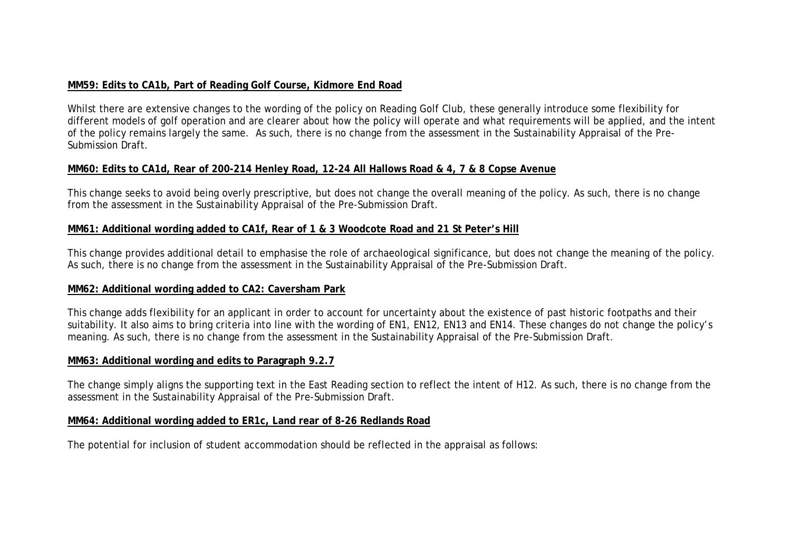# **MM59: Edits to CA1b, Part of Reading Golf Course, Kidmore End Road**

Whilst there are extensive changes to the wording of the policy on Reading Golf Club, these generally introduce some flexibility for different models of golf operation and are clearer about how the policy will operate and what requirements will be applied, and the intent of the policy remains largely the same. As such, there is no change from the assessment in the Sustainability Appraisal of the Pre-Submission Draft.

## **MM60: Edits to CA1d, Rear of 200-214 Henley Road, 12-24 All Hallows Road & 4, 7 & 8 Copse Avenue**

This change seeks to avoid being overly prescriptive, but does not change the overall meaning of the policy. As such, there is no change from the assessment in the Sustainability Appraisal of the Pre-Submission Draft.

#### **MM61: Additional wording added to CA1f, Rear of 1 & 3 Woodcote Road and 21 St Peter's Hill**

This change provides additional detail to emphasise the role of archaeological significance, but does not change the meaning of the policy. As such, there is no change from the assessment in the Sustainability Appraisal of the Pre-Submission Draft.

#### **MM62: Additional wording added to CA2: Caversham Park**

This change adds flexibility for an applicant in order to account for uncertainty about the existence of past historic footpaths and their suitability. It also aims to bring criteria into line with the wording of EN1, EN12, EN13 and EN14. These changes do not change the policy's meaning. As such, there is no change from the assessment in the Sustainability Appraisal of the Pre-Submission Draft.

# **MM63: Additional wording and edits to Paragraph 9.2.7**

The change simply aligns the supporting text in the East Reading section to reflect the intent of H12. As such, there is no change from the assessment in the Sustainability Appraisal of the Pre-Submission Draft.

#### **MM64: Additional wording added to ER1c, Land rear of 8-26 Redlands Road**

The potential for inclusion of student accommodation should be reflected in the appraisal as follows: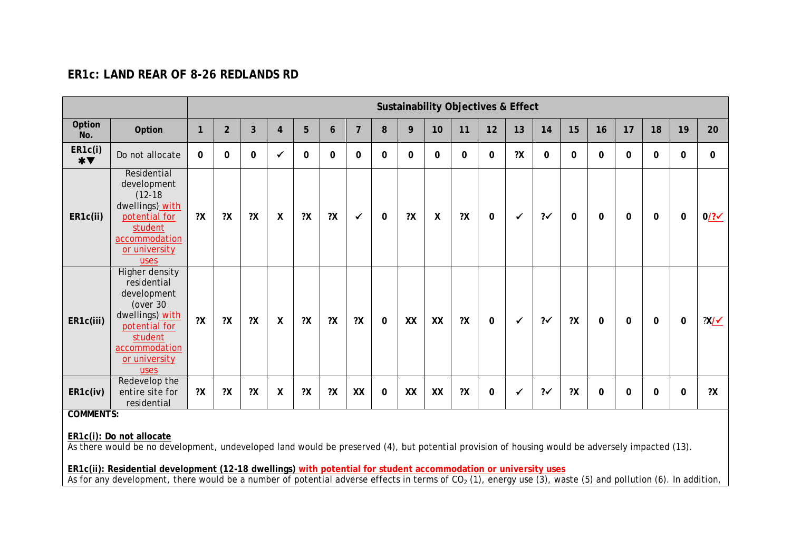# **ER1c: LAND REAR OF 8-26 REDLANDS RD**

|                                     |                                                                                                                                                                             |              |                |             |                  |    |             |                |             |    |                  | <b>Sustainability Objectives &amp; Effect</b> |              |              |                |              |              |             |             |             |                     |
|-------------------------------------|-----------------------------------------------------------------------------------------------------------------------------------------------------------------------------|--------------|----------------|-------------|------------------|----|-------------|----------------|-------------|----|------------------|-----------------------------------------------|--------------|--------------|----------------|--------------|--------------|-------------|-------------|-------------|---------------------|
| Option<br>No.                       | Option                                                                                                                                                                      | $\mathbf{1}$ | $\overline{2}$ | 3           | $\overline{4}$   | 5  | 6           | $\overline{7}$ | 8           | 9  | 10               | 11                                            | 12           | 13           | 14             | 15           | 16           | 17          | 18          | 19          | 20                  |
| ER1c(i)<br>$*$ $\blacktriangledown$ | Do not allocate                                                                                                                                                             | $\mathbf{0}$ | $\mathbf 0$    | $\mathbf 0$ | ✓                | 0  | $\mathbf 0$ | $\mathbf{0}$   | $\mathbf 0$ | 0  | $\mathbf 0$      | 0                                             | 0            | 2X           | $\mathbf 0$    | $\mathbf{0}$ | 0            | 0           | 0           | $\mathbf 0$ | 0                   |
| ER1c(ii)                            | Residential<br>development<br>$(12-18)$<br>dwellings) with<br>potential for<br>student<br>accommodation<br>or university<br>uses                                            | 2X           | 2X             | 2X          | X                | 2X | 2X          | $\checkmark$   | $\Omega$    | 2X | $\boldsymbol{X}$ | 2X                                            | $\mathbf{0}$ | $\checkmark$ | $2\checkmark$  | $\Omega$     | $\mathbf{0}$ | $\mathbf 0$ | $\mathbf 0$ | $\mathbf 0$ | $0$ /? $\checkmark$ |
| ER1c(iii)                           | Higher density<br>residential<br>development<br>(over 30<br>dwellings) with<br>potential for<br>student<br>accommodation<br>or university<br>uses                           | 2X           | 2X             | 2X          | $\boldsymbol{X}$ | 2X | 2X          | 2X             | 0           | XX | XX               | 2X                                            | 0            | $\checkmark$ | $? \checkmark$ | 2X           | $\mathbf{0}$ | $\mathbf 0$ | $\mathbf 0$ | $\mathbf 0$ | $?X/\checkmark$     |
| ER1c(iv)                            | Redevelop the<br>entire site for<br>residential                                                                                                                             | 2X           | 2X             | 2X          | Χ                | 2X | 2X          | XX             | 0           | XX | XX               | 2X                                            | 0            | ✔            | $2\checkmark$  | 2X           | 0            | 0           | 0           | $\Omega$    | 2X                  |
| <b>COMMENTS:</b>                    |                                                                                                                                                                             |              |                |             |                  |    |             |                |             |    |                  |                                               |              |              |                |              |              |             |             |             |                     |
|                                     | ER1c(i): Do not allocate<br>As there would be no development, undeveloped land would be preserved (4), but potential provision of housing would be adversely impacted (13). |              |                |             |                  |    |             |                |             |    |                  |                                               |              |              |                |              |              |             |             |             |                     |
|                                     | ER1c(ii): Residential development (12-18 dwellings) with potential for student accommodation or university uses                                                             |              |                |             |                  |    |             |                |             |    |                  |                                               |              |              |                |              |              |             |             |             |                     |

As for any development, there would be a number of potential adverse effects in terms of CO<sub>2</sub> (1), energy use (3), waste (5) and pollution (6). In addition,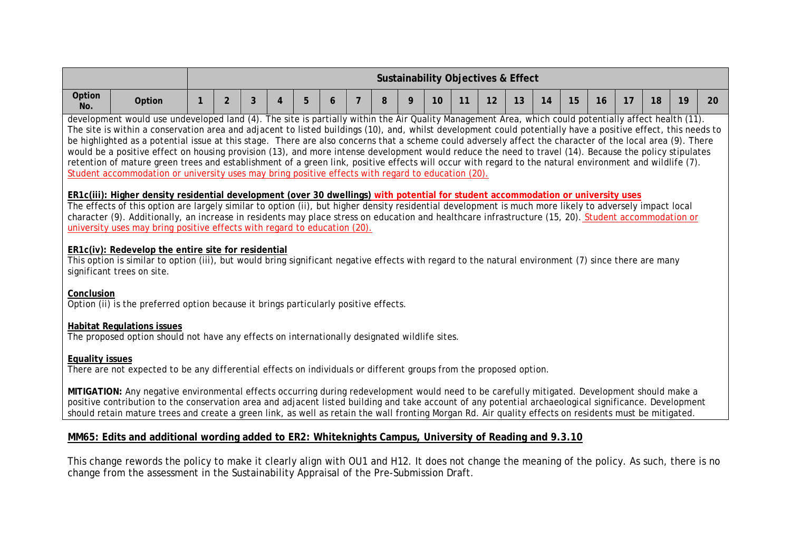|                        |                                                                                                                                                                                                                                                                                                                                                                                                                                                                                                                                                                                                                                                                                                                                                                                                                                                                                                                 |  |                |   |   |   |   |                | <b>Sustainability Objectives &amp; Effect</b> |    |    |    |    |    |    |    |    |    |    |    |
|------------------------|-----------------------------------------------------------------------------------------------------------------------------------------------------------------------------------------------------------------------------------------------------------------------------------------------------------------------------------------------------------------------------------------------------------------------------------------------------------------------------------------------------------------------------------------------------------------------------------------------------------------------------------------------------------------------------------------------------------------------------------------------------------------------------------------------------------------------------------------------------------------------------------------------------------------|--|----------------|---|---|---|---|----------------|-----------------------------------------------|----|----|----|----|----|----|----|----|----|----|----|
| Option<br>No.          | Option                                                                                                                                                                                                                                                                                                                                                                                                                                                                                                                                                                                                                                                                                                                                                                                                                                                                                                          |  | $\overline{2}$ | 3 | 4 | 5 | 6 | $\overline{7}$ | 9<br>8                                        | 10 | 11 | 12 | 13 | 14 | 15 | 16 | 17 | 18 | 19 | 20 |
|                        | development would use undeveloped land (4). The site is partially within the Air Quality Management Area, which could potentially affect health (11).<br>The site is within a conservation area and adjacent to listed buildings (10), and, whilst development could potentially have a positive effect, this needs to<br>be highlighted as a potential issue at this stage. There are also concerns that a scheme could adversely affect the character of the local area (9). There<br>would be a positive effect on housing provision (13), and more intense development would reduce the need to travel (14). Because the policy stipulates<br>retention of mature green trees and establishment of a green link, positive effects will occur with regard to the natural environment and wildlife (7).<br>Student accommodation or university uses may bring positive effects with regard to education (20). |  |                |   |   |   |   |                |                                               |    |    |    |    |    |    |    |    |    |    |    |
|                        | ER1c(iii): Higher density residential development (over 30 dwellings) with potential for student accommodation or university uses<br>The effects of this option are largely similar to option (ii), but higher density residential development is much more likely to adversely impact local<br>character (9). Additionally, an increase in residents may place stress on education and healthcare infrastructure (15, 20). Student accommodation or<br>university uses may bring positive effects with regard to education (20).<br>ER1c(iv): Redevelop the entire site for residential<br>This option is similar to option (iii), but would bring significant negative effects with regard to the natural environment (7) since there are many<br>significant trees on site.                                                                                                                                  |  |                |   |   |   |   |                |                                               |    |    |    |    |    |    |    |    |    |    |    |
| Conclusion             | Option (ii) is the preferred option because it brings particularly positive effects.                                                                                                                                                                                                                                                                                                                                                                                                                                                                                                                                                                                                                                                                                                                                                                                                                            |  |                |   |   |   |   |                |                                               |    |    |    |    |    |    |    |    |    |    |    |
|                        | <b>Habitat Regulations issues</b><br>The proposed option should not have any effects on internationally designated wildlife sites.                                                                                                                                                                                                                                                                                                                                                                                                                                                                                                                                                                                                                                                                                                                                                                              |  |                |   |   |   |   |                |                                               |    |    |    |    |    |    |    |    |    |    |    |
| <b>Equality issues</b> | There are not expected to be any differential effects on individuals or different groups from the proposed option.                                                                                                                                                                                                                                                                                                                                                                                                                                                                                                                                                                                                                                                                                                                                                                                              |  |                |   |   |   |   |                |                                               |    |    |    |    |    |    |    |    |    |    |    |
|                        | MITIGATION: Any negative environmental effects occurring during redevelopment would need to be carefully mitigated. Development should make a<br>positive contribution to the conservation area and adjacent listed building and take account of any potential archaeological significance. Development<br>should retain mature trees and create a green link, as well as retain the wall fronting Morgan Rd. Air quality effects on residents must be mitigated.                                                                                                                                                                                                                                                                                                                                                                                                                                               |  |                |   |   |   |   |                |                                               |    |    |    |    |    |    |    |    |    |    |    |
|                        | MM65: Edits and additional wording added to ER2: Whiteknights Campus, University of Reading and 9.3.10                                                                                                                                                                                                                                                                                                                                                                                                                                                                                                                                                                                                                                                                                                                                                                                                          |  |                |   |   |   |   |                |                                               |    |    |    |    |    |    |    |    |    |    |    |

This change rewords the policy to make it clearly align with OU1 and H12. It does not change the meaning of the policy. As such, there is no change from the assessment in the Sustainability Appraisal of the Pre-Submission Draft.